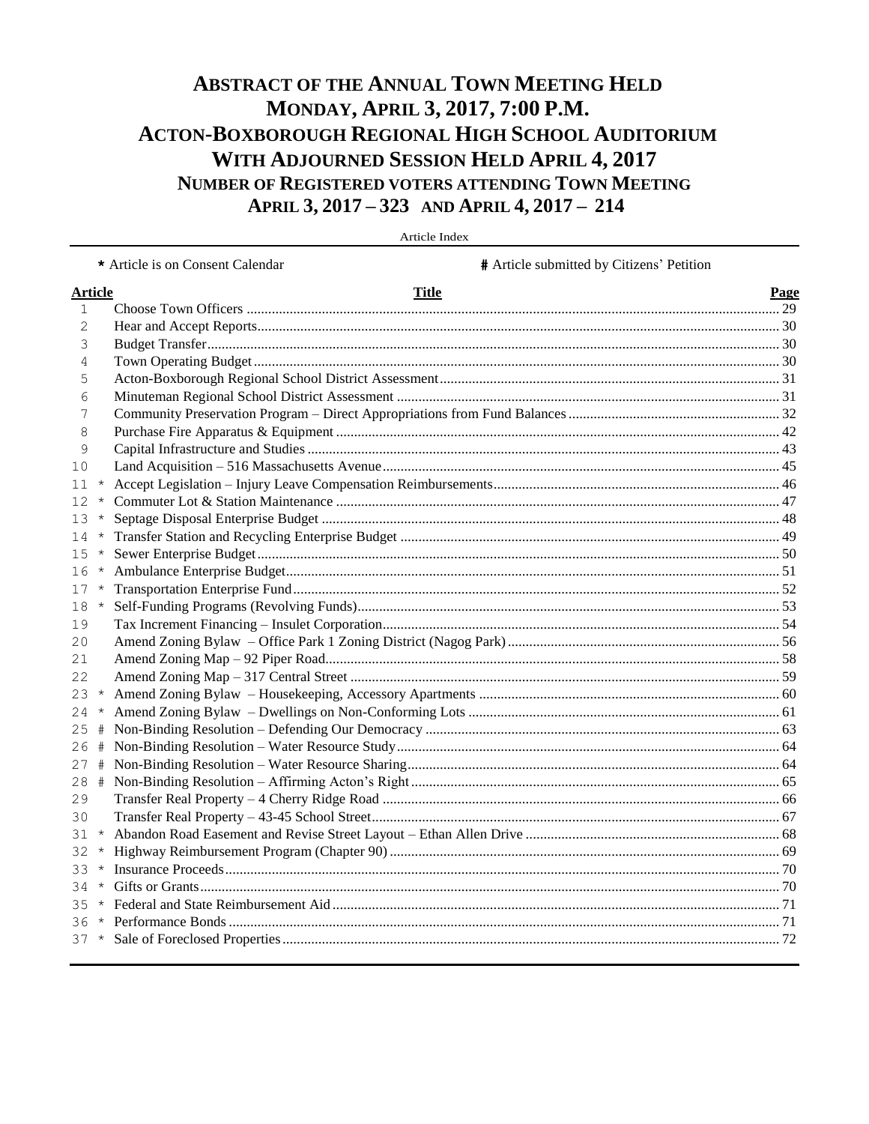## **ABSTRACT OF THE ANNUAL TOWN MEETING HELD** MONDAY, APRIL 3, 2017, 7:00 P.M. **ACTON-BOXBOROUGH REGIONAL HIGH SCHOOL AUDITORIUM** WITH ADJOURNED SESSION HELD APRIL 4, 2017 NUMBER OF REGISTERED VOTERS ATTENDING TOWN MEETING APRIL 3, 2017 - 323 AND APRIL 4, 2017 - 214

|                |          | # Article submitted by Citizens' Petition<br>* Article is on Consent Calendar |      |
|----------------|----------|-------------------------------------------------------------------------------|------|
| <b>Article</b> |          | <b>Title</b>                                                                  | Page |
| 1              |          |                                                                               |      |
| 2              |          |                                                                               |      |
| 3              |          |                                                                               |      |
| 4              |          |                                                                               |      |
| 5              |          |                                                                               |      |
| 6              |          |                                                                               |      |
| 7              |          |                                                                               |      |
| 8              |          |                                                                               |      |
| 9              |          |                                                                               |      |
| 10             |          |                                                                               |      |
| 11             | $\star$  |                                                                               |      |
| 12             | $\star$  |                                                                               |      |
| 13             | $^\star$ |                                                                               |      |
| 14             | $\star$  |                                                                               |      |
| 15             | $\star$  |                                                                               |      |
| 16             | $\star$  |                                                                               |      |
| 17             | $\star$  |                                                                               |      |
| 18             | $\star$  |                                                                               |      |
| 19             |          |                                                                               |      |
| 20             |          |                                                                               |      |
| 21             |          |                                                                               |      |
| 22             |          |                                                                               |      |
| $23 *$         |          |                                                                               |      |
| $24 *$         |          |                                                                               |      |
| 25             | #        |                                                                               |      |
| 26             | #        |                                                                               |      |
| 27             | #        |                                                                               |      |
| 28             | #        |                                                                               |      |
| 29             |          |                                                                               |      |
| 30             |          |                                                                               |      |
| $31 *$         |          |                                                                               |      |
| 32.            | $\star$  |                                                                               |      |
| 33 *           |          |                                                                               |      |
| 34             | $\star$  |                                                                               |      |
| 35             | $\star$  |                                                                               |      |
|                |          |                                                                               |      |
|                |          |                                                                               |      |

Article Index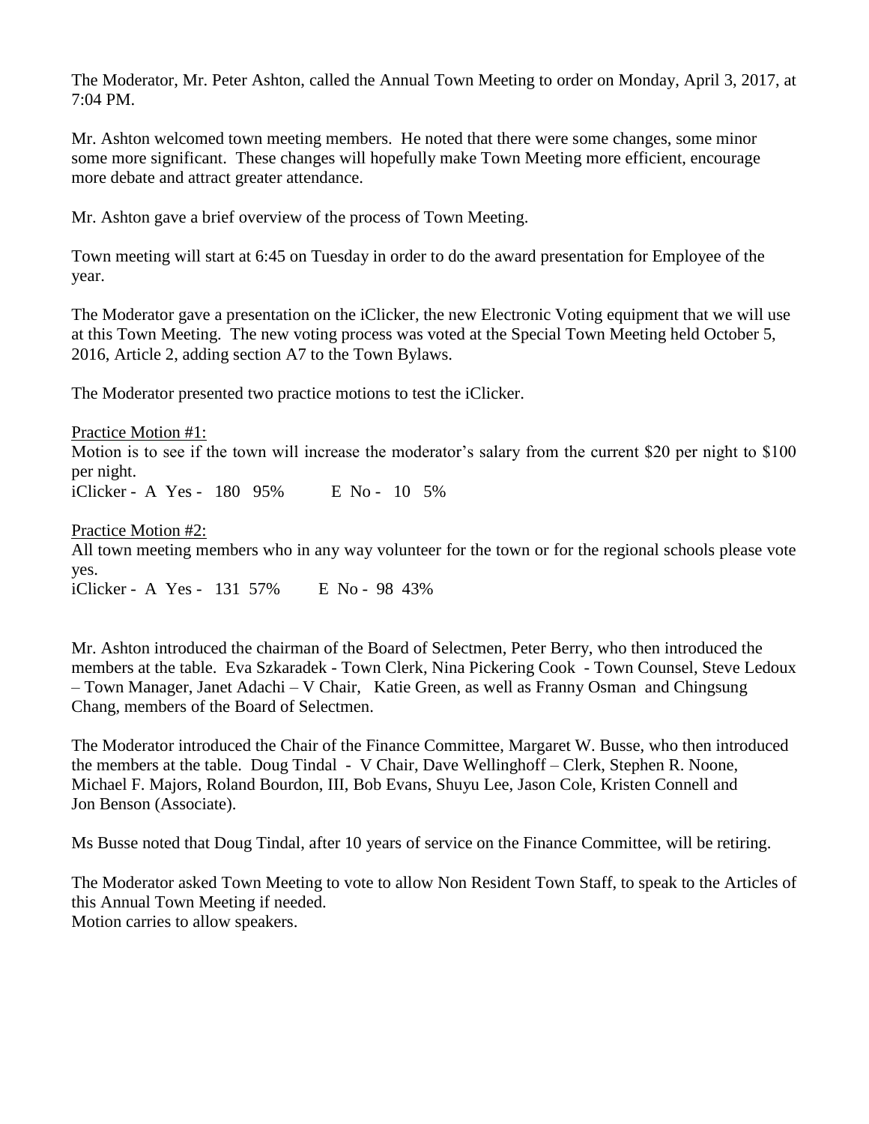The Moderator, Mr. Peter Ashton, called the Annual Town Meeting to order on Monday, April 3, 2017, at 7:04 PM.

Mr. Ashton welcomed town meeting members. He noted that there were some changes, some minor some more significant. These changes will hopefully make Town Meeting more efficient, encourage more debate and attract greater attendance.

Mr. Ashton gave a brief overview of the process of Town Meeting.

Town meeting will start at 6:45 on Tuesday in order to do the award presentation for Employee of the year.

The Moderator gave a presentation on the iClicker, the new Electronic Voting equipment that we will use at this Town Meeting. The new voting process was voted at the Special Town Meeting held October 5, 2016, Article 2, adding section A7 to the Town Bylaws.

The Moderator presented two practice motions to test the iClicker.

Practice Motion #1: Motion is to see if the town will increase the moderator's salary from the current \$20 per night to \$100 per night. iClicker - A Yes - 180 95% E No - 10 5%

Practice Motion #2:

All town meeting members who in any way volunteer for the town or for the regional schools please vote yes.

iClicker - A Yes - 131 57% E No - 98 43%

Mr. Ashton introduced the chairman of the Board of Selectmen, Peter Berry, who then introduced the members at the table. Eva Szkaradek - Town Clerk, Nina Pickering Cook - Town Counsel, Steve Ledoux – Town Manager, Janet Adachi – V Chair, Katie Green, as well as Franny Osman and Chingsung Chang, members of the Board of Selectmen.

The Moderator introduced the Chair of the Finance Committee, Margaret W. Busse, who then introduced the members at the table. Doug Tindal - V Chair, Dave Wellinghoff – Clerk, Stephen R. Noone, Michael F. Majors, Roland Bourdon, III, Bob Evans, Shuyu Lee, Jason Cole, Kristen Connell and Jon Benson (Associate).

Ms Busse noted that Doug Tindal, after 10 years of service on the Finance Committee, will be retiring.

The Moderator asked Town Meeting to vote to allow Non Resident Town Staff, to speak to the Articles of this Annual Town Meeting if needed. Motion carries to allow speakers.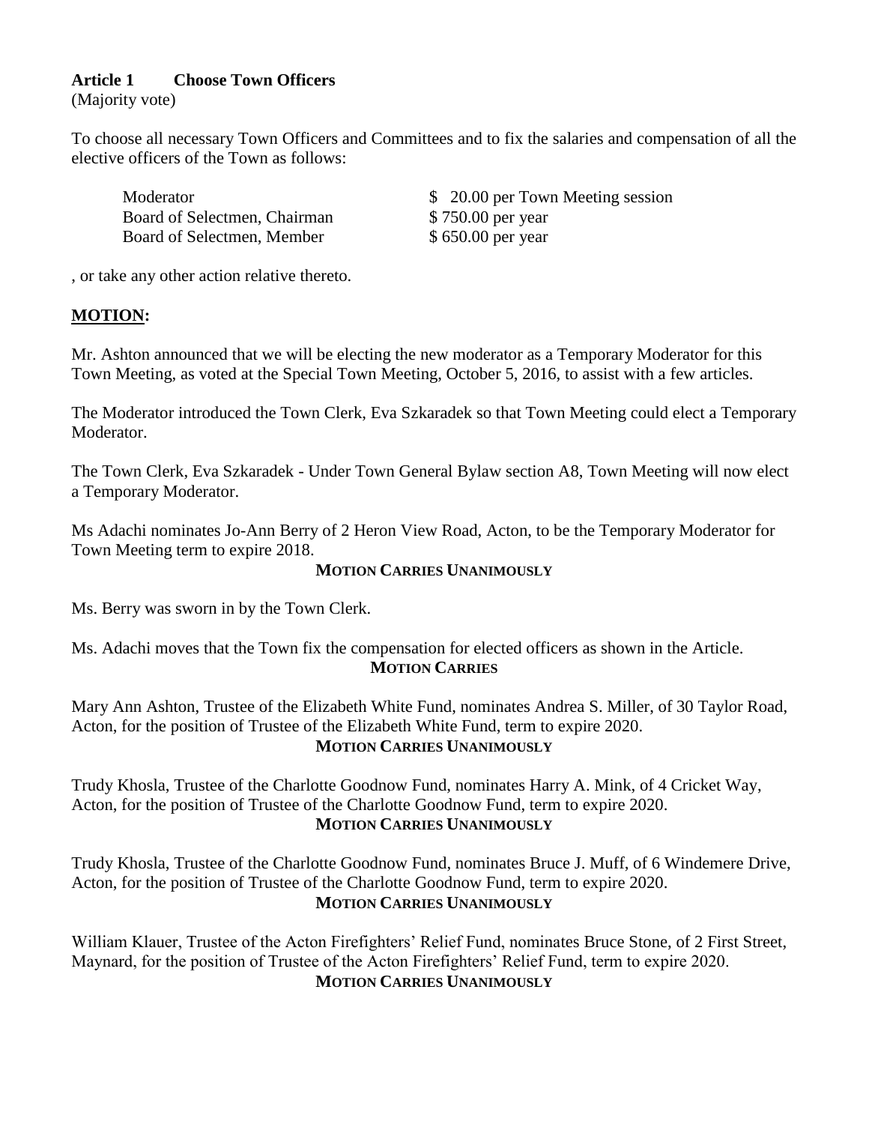## **Article 1 Choose Town Officers**

(Majority vote)

To choose all necessary Town Officers and Committees and to fix the salaries and compensation of all the elective officers of the Town as follows:

Board of Selectmen, Chairman \$750.00 per year Board of Selectmen, Member  $$ 650.00$  per year

Moderator  $$ 20.00$  per Town Meeting session

, or take any other action relative thereto.

## **MOTION:**

Mr. Ashton announced that we will be electing the new moderator as a Temporary Moderator for this Town Meeting, as voted at the Special Town Meeting, October 5, 2016, to assist with a few articles.

The Moderator introduced the Town Clerk, Eva Szkaradek so that Town Meeting could elect a Temporary Moderator.

The Town Clerk, Eva Szkaradek - Under Town General Bylaw section A8, Town Meeting will now elect a Temporary Moderator.

Ms Adachi nominates Jo-Ann Berry of 2 Heron View Road, Acton, to be the Temporary Moderator for Town Meeting term to expire 2018.

## **MOTION CARRIES UNANIMOUSLY**

Ms. Berry was sworn in by the Town Clerk.

Ms. Adachi moves that the Town fix the compensation for elected officers as shown in the Article. **MOTION CARRIES**

Mary Ann Ashton, Trustee of the Elizabeth White Fund, nominates Andrea S. Miller, of 30 Taylor Road, Acton, for the position of Trustee of the Elizabeth White Fund, term to expire 2020. **MOTION CARRIES UNANIMOUSLY**

Trudy Khosla, Trustee of the Charlotte Goodnow Fund, nominates Harry A. Mink, of 4 Cricket Way, Acton, for the position of Trustee of the Charlotte Goodnow Fund, term to expire 2020. **MOTION CARRIES UNANIMOUSLY**

Trudy Khosla, Trustee of the Charlotte Goodnow Fund, nominates Bruce J. Muff, of 6 Windemere Drive, Acton, for the position of Trustee of the Charlotte Goodnow Fund, term to expire 2020. **MOTION CARRIES UNANIMOUSLY**

William Klauer, Trustee of the Acton Firefighters' Relief Fund, nominates Bruce Stone, of 2 First Street, Maynard, for the position of Trustee of the Acton Firefighters' Relief Fund, term to expire 2020. **MOTION CARRIES UNANIMOUSLY**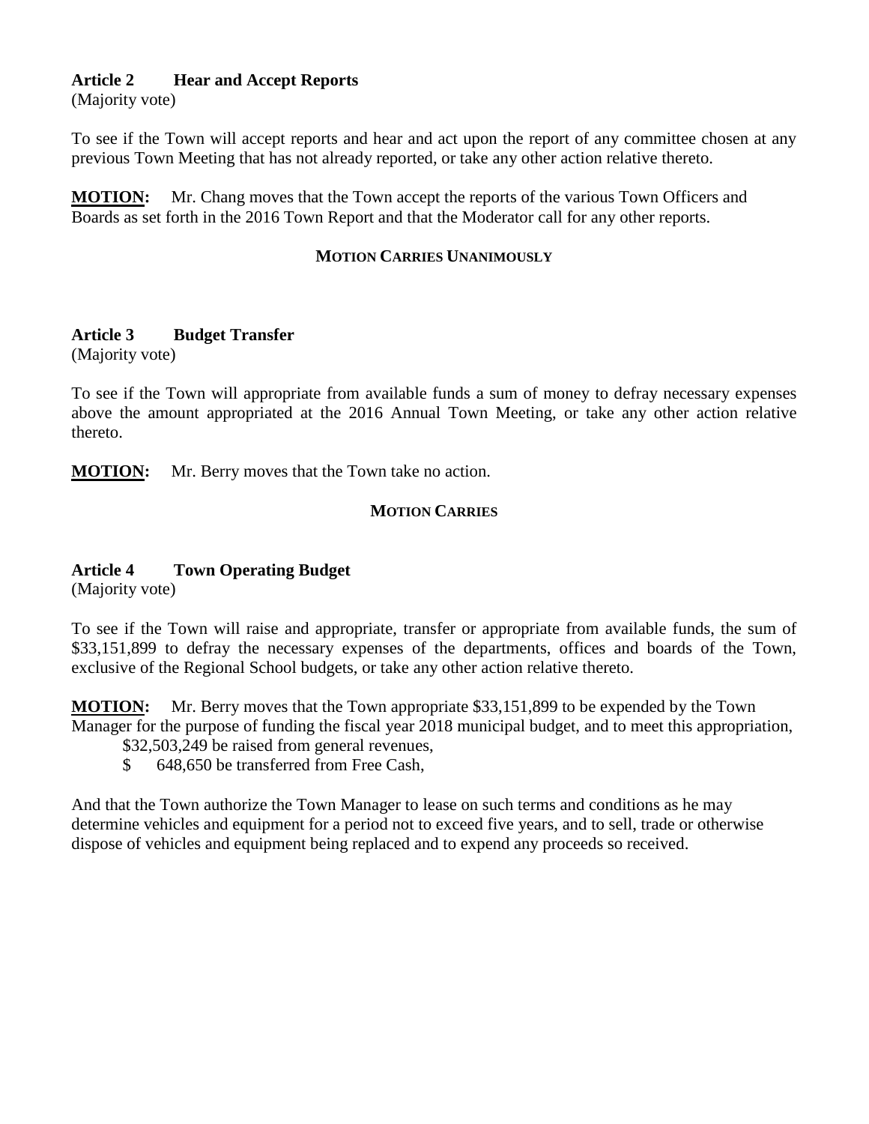## **Article 2 Hear and Accept Reports**

(Majority vote)

To see if the Town will accept reports and hear and act upon the report of any committee chosen at any previous Town Meeting that has not already reported, or take any other action relative thereto.

**MOTION:** Mr. Chang moves that the Town accept the reports of the various Town Officers and Boards as set forth in the 2016 Town Report and that the Moderator call for any other reports.

## **MOTION CARRIES UNANIMOUSLY**

## **Article 3 Budget Transfer**

(Majority vote)

To see if the Town will appropriate from available funds a sum of money to defray necessary expenses above the amount appropriated at the 2016 Annual Town Meeting, or take any other action relative thereto.

**MOTION:** Mr. Berry moves that the Town take no action.

## **MOTION CARRIES**

## **Article 4 Town Operating Budget**

(Majority vote)

To see if the Town will raise and appropriate, transfer or appropriate from available funds, the sum of \$33,151,899 to defray the necessary expenses of the departments, offices and boards of the Town, exclusive of the Regional School budgets, or take any other action relative thereto.

**MOTION:** Mr. Berry moves that the Town appropriate \$33,151,899 to be expended by the Town Manager for the purpose of funding the fiscal year 2018 municipal budget, and to meet this appropriation,

\$32,503,249 be raised from general revenues,

\$ 648,650 be transferred from Free Cash,

And that the Town authorize the Town Manager to lease on such terms and conditions as he may determine vehicles and equipment for a period not to exceed five years, and to sell, trade or otherwise dispose of vehicles and equipment being replaced and to expend any proceeds so received.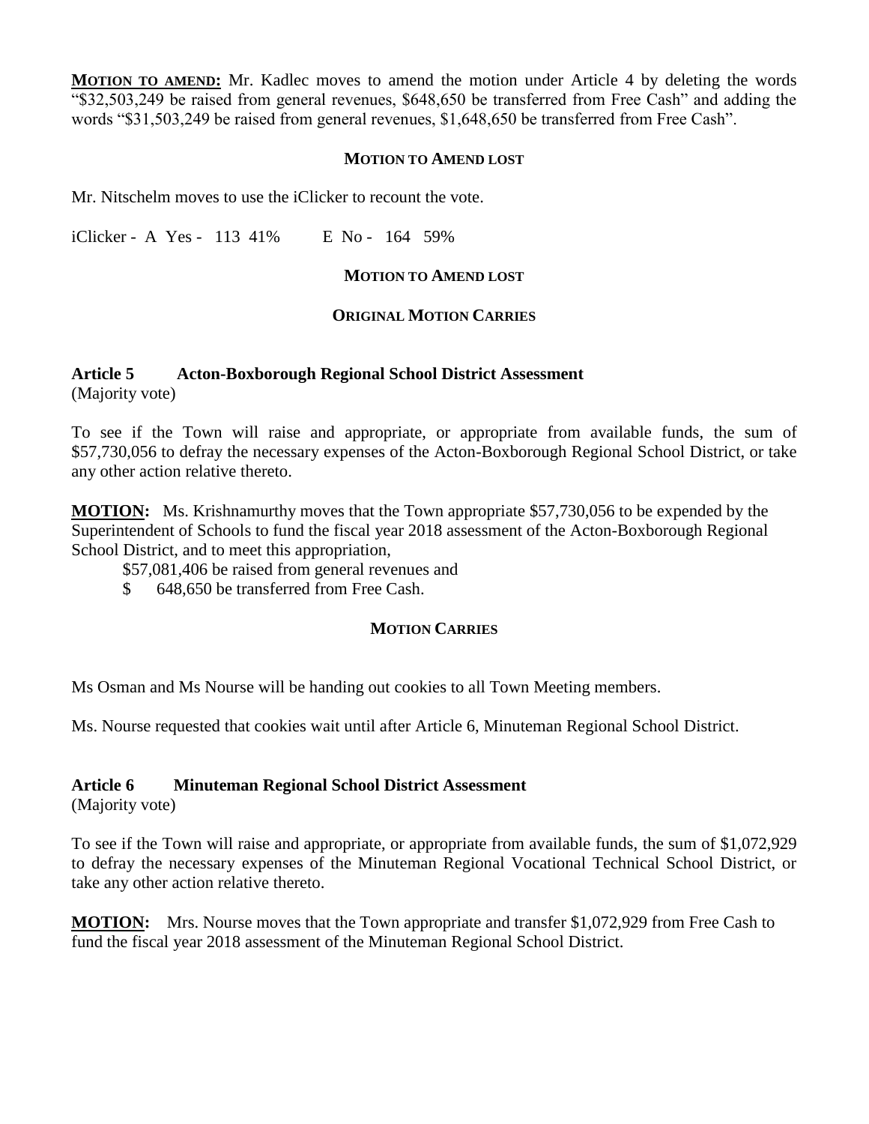**MOTION TO AMEND:** Mr. Kadlec moves to amend the motion under Article 4 by deleting the words "\$32,503,249 be raised from general revenues, \$648,650 be transferred from Free Cash" and adding the words "\$31,503,249 be raised from general revenues, \$1,648,650 be transferred from Free Cash".

#### **MOTION TO AMEND LOST**

Mr. Nitschelm moves to use the iClicker to recount the vote.

iClicker - A Yes - 113 41% E No - 164 59%

#### **MOTION TO AMEND LOST**

## **ORIGINAL MOTION CARRIES**

#### **Article 5 Acton-Boxborough Regional School District Assessment** (Majority vote)

To see if the Town will raise and appropriate, or appropriate from available funds, the sum of \$57,730,056 to defray the necessary expenses of the Acton-Boxborough Regional School District, or take any other action relative thereto.

**MOTION:** Ms. Krishnamurthy moves that the Town appropriate \$57,730,056 to be expended by the Superintendent of Schools to fund the fiscal year 2018 assessment of the Acton-Boxborough Regional School District, and to meet this appropriation,

\$57,081,406 be raised from general revenues and

\$ 648,650 be transferred from Free Cash.

## **MOTION CARRIES**

Ms Osman and Ms Nourse will be handing out cookies to all Town Meeting members.

Ms. Nourse requested that cookies wait until after Article 6, Minuteman Regional School District.

## **Article 6 Minuteman Regional School District Assessment**

(Majority vote)

To see if the Town will raise and appropriate, or appropriate from available funds, the sum of \$1,072,929 to defray the necessary expenses of the Minuteman Regional Vocational Technical School District, or take any other action relative thereto.

**MOTION:** Mrs. Nourse moves that the Town appropriate and transfer \$1,072,929 from Free Cash to fund the fiscal year 2018 assessment of the Minuteman Regional School District.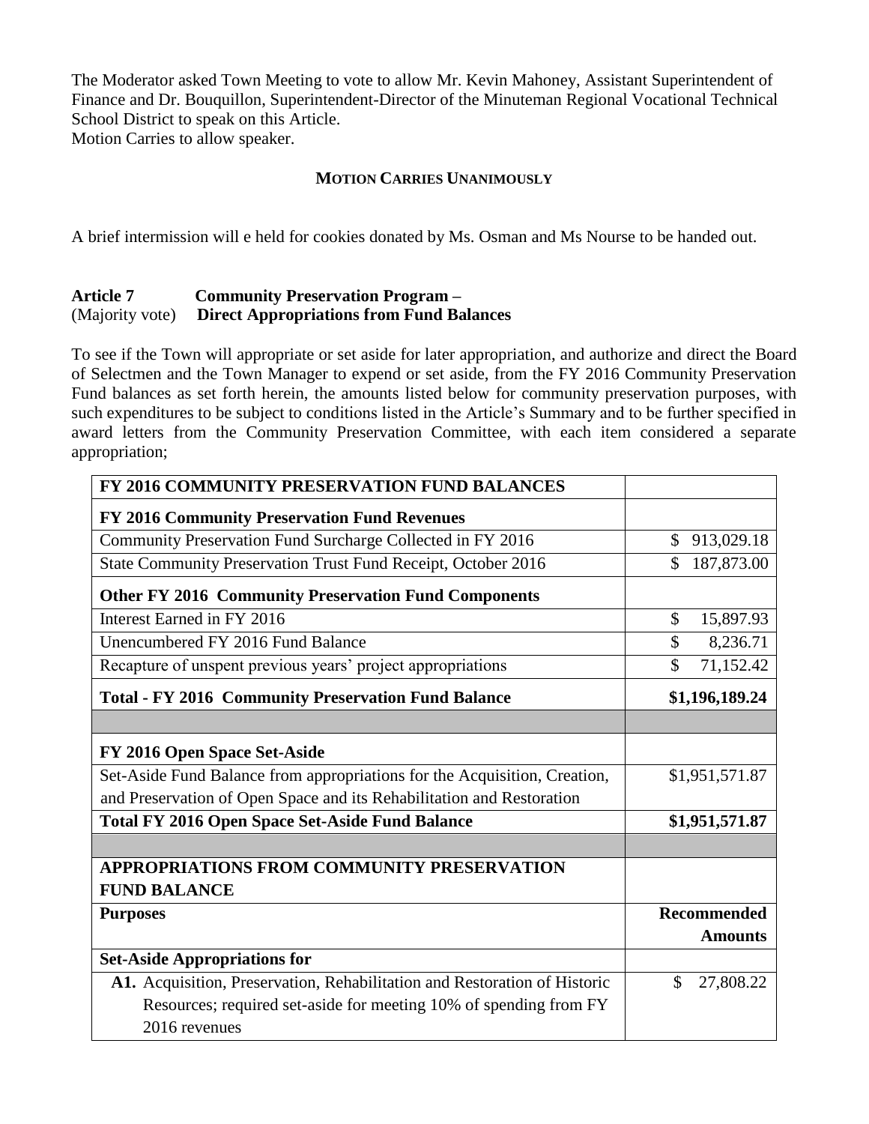The Moderator asked Town Meeting to vote to allow Mr. Kevin Mahoney, Assistant Superintendent of Finance and Dr. Bouquillon, Superintendent-Director of the Minuteman Regional Vocational Technical School District to speak on this Article.

Motion Carries to allow speaker.

## **MOTION CARRIES UNANIMOUSLY**

A brief intermission will e held for cookies donated by Ms. Osman and Ms Nourse to be handed out.

#### **Article 7 Community Preservation Program –** (Majority vote) **Direct Appropriations from Fund Balances**

To see if the Town will appropriate or set aside for later appropriation, and authorize and direct the Board of Selectmen and the Town Manager to expend or set aside, from the FY 2016 Community Preservation Fund balances as set forth herein, the amounts listed below for community preservation purposes, with such expenditures to be subject to conditions listed in the Article's Summary and to be further specified in award letters from the Community Preservation Committee, with each item considered a separate appropriation;

| FY 2016 COMMUNITY PRESERVATION FUND BALANCES                              |                    |
|---------------------------------------------------------------------------|--------------------|
| FY 2016 Community Preservation Fund Revenues                              |                    |
| Community Preservation Fund Surcharge Collected in FY 2016                | \$<br>913,029.18   |
| State Community Preservation Trust Fund Receipt, October 2016             | \$<br>187,873.00   |
| <b>Other FY 2016 Community Preservation Fund Components</b>               |                    |
| Interest Earned in FY 2016                                                | \$<br>15,897.93    |
| Unencumbered FY 2016 Fund Balance                                         | \$<br>8,236.71     |
| Recapture of unspent previous years' project appropriations               | \$<br>71,152.42    |
| <b>Total - FY 2016 Community Preservation Fund Balance</b>                | \$1,196,189.24     |
|                                                                           |                    |
| FY 2016 Open Space Set-Aside                                              |                    |
| Set-Aside Fund Balance from appropriations for the Acquisition, Creation, | \$1,951,571.87     |
| and Preservation of Open Space and its Rehabilitation and Restoration     |                    |
| <b>Total FY 2016 Open Space Set-Aside Fund Balance</b>                    | \$1,951,571.87     |
|                                                                           |                    |
| APPROPRIATIONS FROM COMMUNITY PRESERVATION                                |                    |
| <b>FUND BALANCE</b>                                                       |                    |
| <b>Purposes</b>                                                           | <b>Recommended</b> |
|                                                                           | <b>Amounts</b>     |
| <b>Set-Aside Appropriations for</b>                                       |                    |
| A1. Acquisition, Preservation, Rehabilitation and Restoration of Historic | \$<br>27,808.22    |
| Resources; required set-aside for meeting 10% of spending from FY         |                    |
| 2016 revenues                                                             |                    |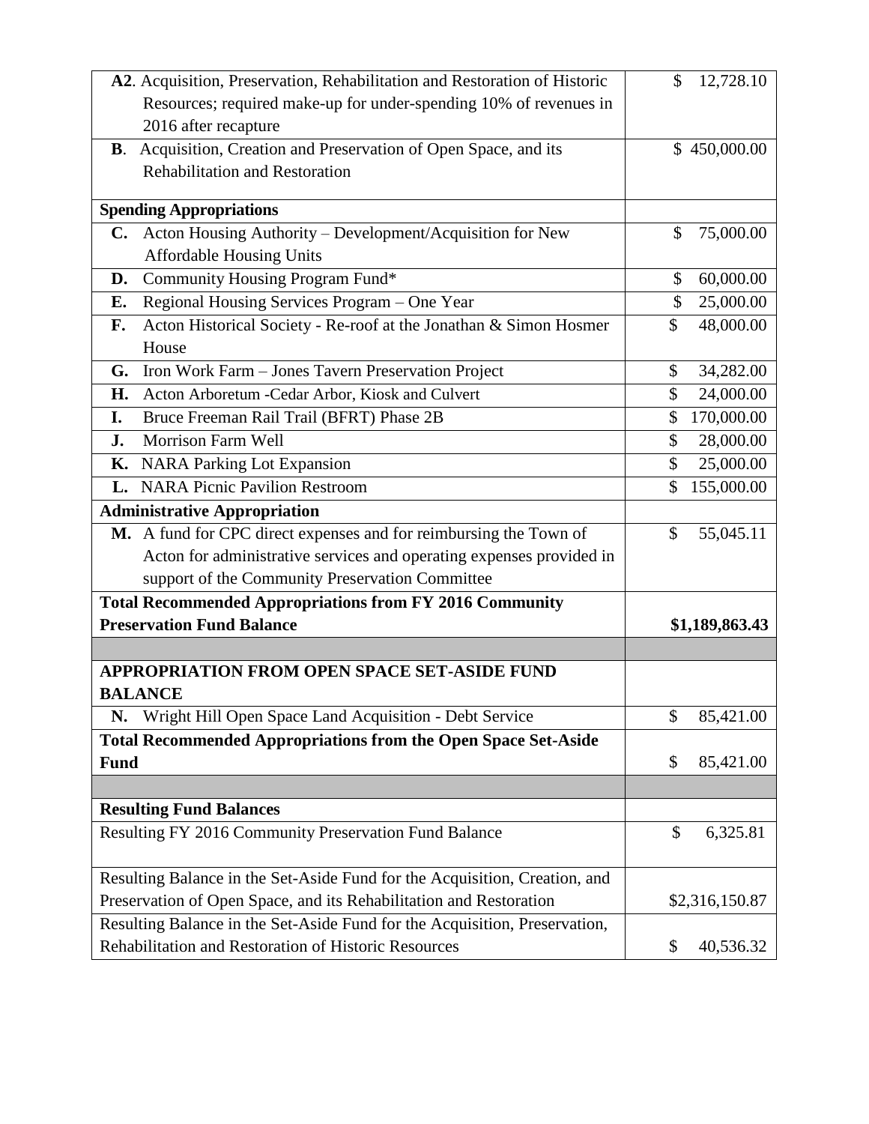| A2. Acquisition, Preservation, Rehabilitation and Restoration of Historic  | 12,728.10<br>\$            |
|----------------------------------------------------------------------------|----------------------------|
| Resources; required make-up for under-spending 10% of revenues in          |                            |
| 2016 after recapture                                                       |                            |
| B. Acquisition, Creation and Preservation of Open Space, and its           | \$450,000.00               |
| <b>Rehabilitation and Restoration</b>                                      |                            |
|                                                                            |                            |
| <b>Spending Appropriations</b>                                             |                            |
| C. Acton Housing Authority - Development/Acquisition for New               | \$<br>75,000.00            |
| <b>Affordable Housing Units</b>                                            |                            |
| Community Housing Program Fund*<br>D.                                      | $\mathcal{S}$<br>60,000.00 |
| Regional Housing Services Program - One Year<br>Е.                         | $\mathcal{S}$<br>25,000.00 |
| Acton Historical Society - Re-roof at the Jonathan & Simon Hosmer<br>F.    | \$<br>48,000.00            |
| House                                                                      |                            |
| G. Iron Work Farm - Jones Tavern Preservation Project                      | $\mathbb{S}$<br>34,282.00  |
| Acton Arboretum -Cedar Arbor, Kiosk and Culvert<br>Н.                      | $\mathcal{S}$<br>24,000.00 |
| Bruce Freeman Rail Trail (BFRT) Phase 2B<br>I.                             | \$<br>170,000.00           |
| Morrison Farm Well<br>J.                                                   | 28,000.00<br>\$            |
| K. NARA Parking Lot Expansion                                              | 25,000.00<br>\$            |
| <b>NARA Picnic Pavilion Restroom</b><br>$\mathbf{L}$                       | \$<br>155,000.00           |
| <b>Administrative Appropriation</b>                                        |                            |
| M. A fund for CPC direct expenses and for reimbursing the Town of          | 55,045.11<br>$\mathcal{S}$ |
| Acton for administrative services and operating expenses provided in       |                            |
| support of the Community Preservation Committee                            |                            |
| <b>Total Recommended Appropriations from FY 2016 Community</b>             |                            |
| <b>Preservation Fund Balance</b>                                           | \$1,189,863.43             |
|                                                                            |                            |
| <b>APPROPRIATION FROM OPEN SPACE SET-ASIDE FUND</b>                        |                            |
| <b>BALANCE</b>                                                             |                            |
| Wright Hill Open Space Land Acquisition - Debt Service<br>N.               | 85,421.00<br>\$            |
| <b>Total Recommended Appropriations from the Open Space Set-Aside</b>      |                            |
| <b>Fund</b>                                                                | \$<br>85,421.00            |
|                                                                            |                            |
| <b>Resulting Fund Balances</b>                                             |                            |
| Resulting FY 2016 Community Preservation Fund Balance                      | \$<br>6,325.81             |
|                                                                            |                            |
| Resulting Balance in the Set-Aside Fund for the Acquisition, Creation, and |                            |
| Preservation of Open Space, and its Rehabilitation and Restoration         | \$2,316,150.87             |
| Resulting Balance in the Set-Aside Fund for the Acquisition, Preservation, |                            |
| Rehabilitation and Restoration of Historic Resources                       | 40,536.32<br>\$            |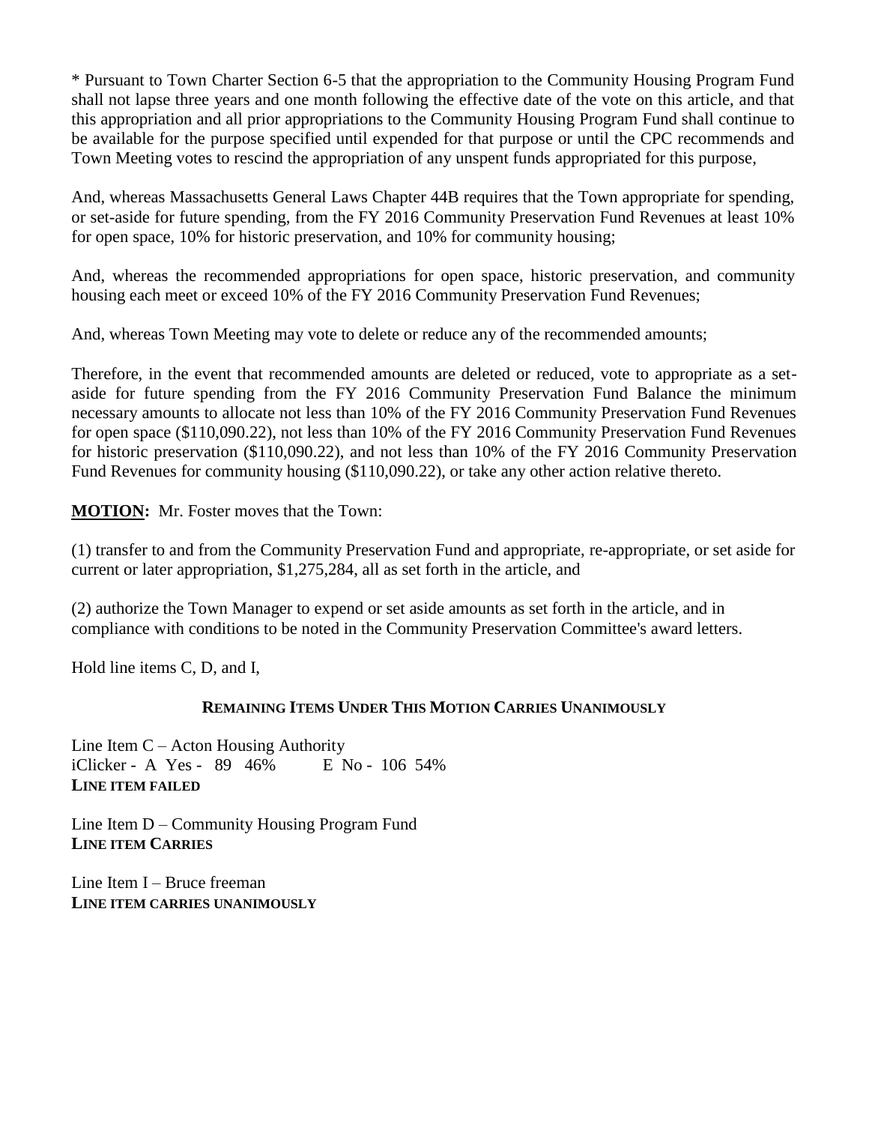\* Pursuant to Town Charter Section 6-5 that the appropriation to the Community Housing Program Fund shall not lapse three years and one month following the effective date of the vote on this article, and that this appropriation and all prior appropriations to the Community Housing Program Fund shall continue to be available for the purpose specified until expended for that purpose or until the CPC recommends and Town Meeting votes to rescind the appropriation of any unspent funds appropriated for this purpose,

And, whereas Massachusetts General Laws Chapter 44B requires that the Town appropriate for spending, or set-aside for future spending, from the FY 2016 Community Preservation Fund Revenues at least 10% for open space, 10% for historic preservation, and 10% for community housing;

And, whereas the recommended appropriations for open space, historic preservation, and community housing each meet or exceed 10% of the FY 2016 Community Preservation Fund Revenues;

And, whereas Town Meeting may vote to delete or reduce any of the recommended amounts;

Therefore, in the event that recommended amounts are deleted or reduced, vote to appropriate as a setaside for future spending from the FY 2016 Community Preservation Fund Balance the minimum necessary amounts to allocate not less than 10% of the FY 2016 Community Preservation Fund Revenues for open space (\$110,090.22), not less than 10% of the FY 2016 Community Preservation Fund Revenues for historic preservation (\$110,090.22), and not less than 10% of the FY 2016 Community Preservation Fund Revenues for community housing (\$110,090.22), or take any other action relative thereto.

**MOTION:** Mr. Foster moves that the Town:

(1) transfer to and from the Community Preservation Fund and appropriate, re-appropriate, or set aside for current or later appropriation, \$1,275,284, all as set forth in the article, and

(2) authorize the Town Manager to expend or set aside amounts as set forth in the article, and in compliance with conditions to be noted in the Community Preservation Committee's award letters.

Hold line items C, D, and I,

## **REMAINING ITEMS UNDER THIS MOTION CARRIES UNANIMOUSLY**

Line Item C – Acton Housing Authority iClicker - A Yes - 89 46% E No - 106 54% **LINE ITEM FAILED**

Line Item D – Community Housing Program Fund **LINE ITEM CARRIES**

Line Item I – Bruce freeman **LINE ITEM CARRIES UNANIMOUSLY**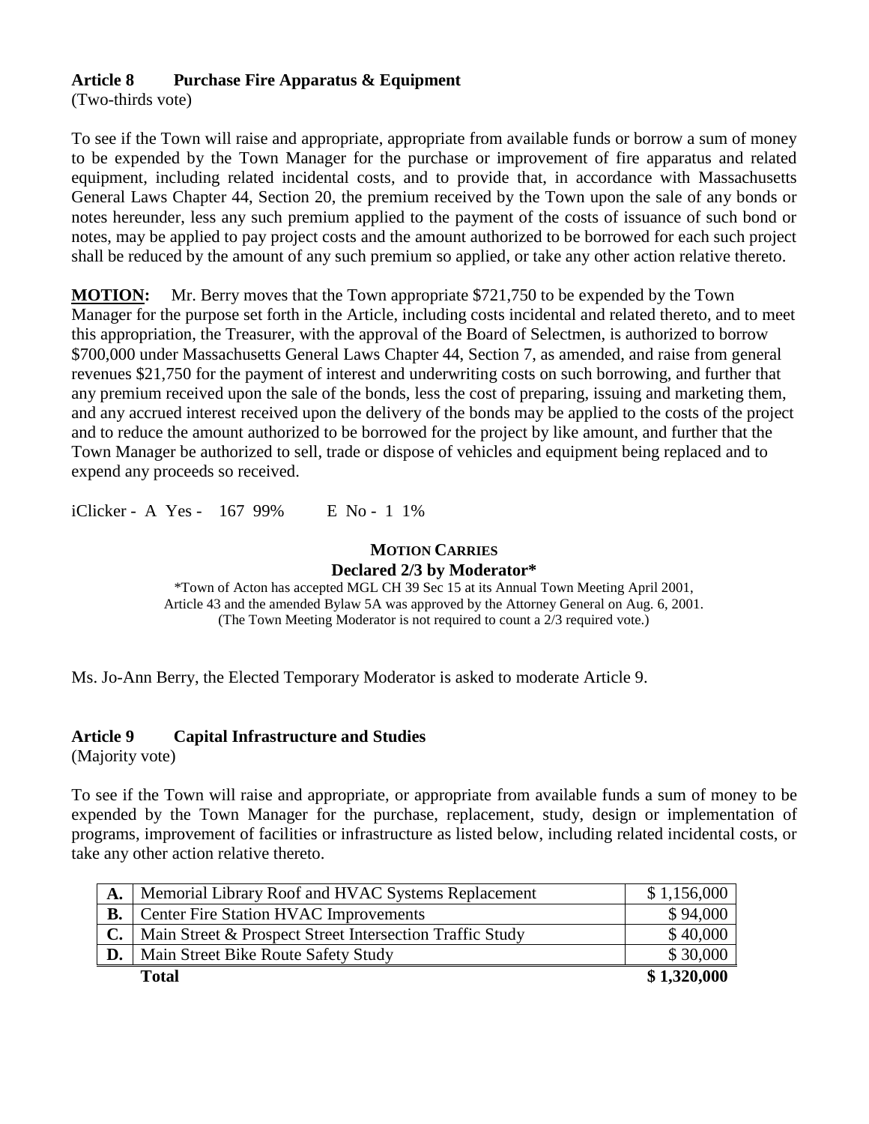## **Article 8 Purchase Fire Apparatus & Equipment**

(Two-thirds vote)

To see if the Town will raise and appropriate, appropriate from available funds or borrow a sum of money to be expended by the Town Manager for the purchase or improvement of fire apparatus and related equipment, including related incidental costs, and to provide that, in accordance with Massachusetts General Laws Chapter 44, Section 20, the premium received by the Town upon the sale of any bonds or notes hereunder, less any such premium applied to the payment of the costs of issuance of such bond or notes, may be applied to pay project costs and the amount authorized to be borrowed for each such project shall be reduced by the amount of any such premium so applied, or take any other action relative thereto.

**MOTION:** Mr. Berry moves that the Town appropriate \$721,750 to be expended by the Town Manager for the purpose set forth in the Article, including costs incidental and related thereto, and to meet this appropriation, the Treasurer, with the approval of the Board of Selectmen, is authorized to borrow \$700,000 under Massachusetts General Laws Chapter 44, Section 7, as amended, and raise from general revenues \$21,750 for the payment of interest and underwriting costs on such borrowing, and further that any premium received upon the sale of the bonds, less the cost of preparing, issuing and marketing them, and any accrued interest received upon the delivery of the bonds may be applied to the costs of the project and to reduce the amount authorized to be borrowed for the project by like amount, and further that the Town Manager be authorized to sell, trade or dispose of vehicles and equipment being replaced and to expend any proceeds so received.

iClicker - A Yes - 167 99% E No - 1 1%

## **MOTION CARRIES Declared 2/3 by Moderator\***

\*Town of Acton has accepted MGL CH 39 Sec 15 at its Annual Town Meeting April 2001, Article 43 and the amended Bylaw 5A was approved by the Attorney General on Aug. 6, 2001. (The Town Meeting Moderator is not required to count a 2/3 required vote.)

Ms. Jo-Ann Berry, the Elected Temporary Moderator is asked to moderate Article 9.

## **Article 9 Capital Infrastructure and Studies**

(Majority vote)

To see if the Town will raise and appropriate, or appropriate from available funds a sum of money to be expended by the Town Manager for the purchase, replacement, study, design or implementation of programs, improvement of facilities or infrastructure as listed below, including related incidental costs, or take any other action relative thereto.

| А. | Memorial Library Roof and HVAC Systems Replacement       | \$1,156,000 |
|----|----------------------------------------------------------|-------------|
|    | <b>Center Fire Station HVAC Improvements</b>             | \$94,000    |
|    | Main Street & Prospect Street Intersection Traffic Study | \$40,000    |
| D. | Main Street Bike Route Safety Study                      | \$30,000    |
|    | <b>Total</b>                                             | \$1,320,000 |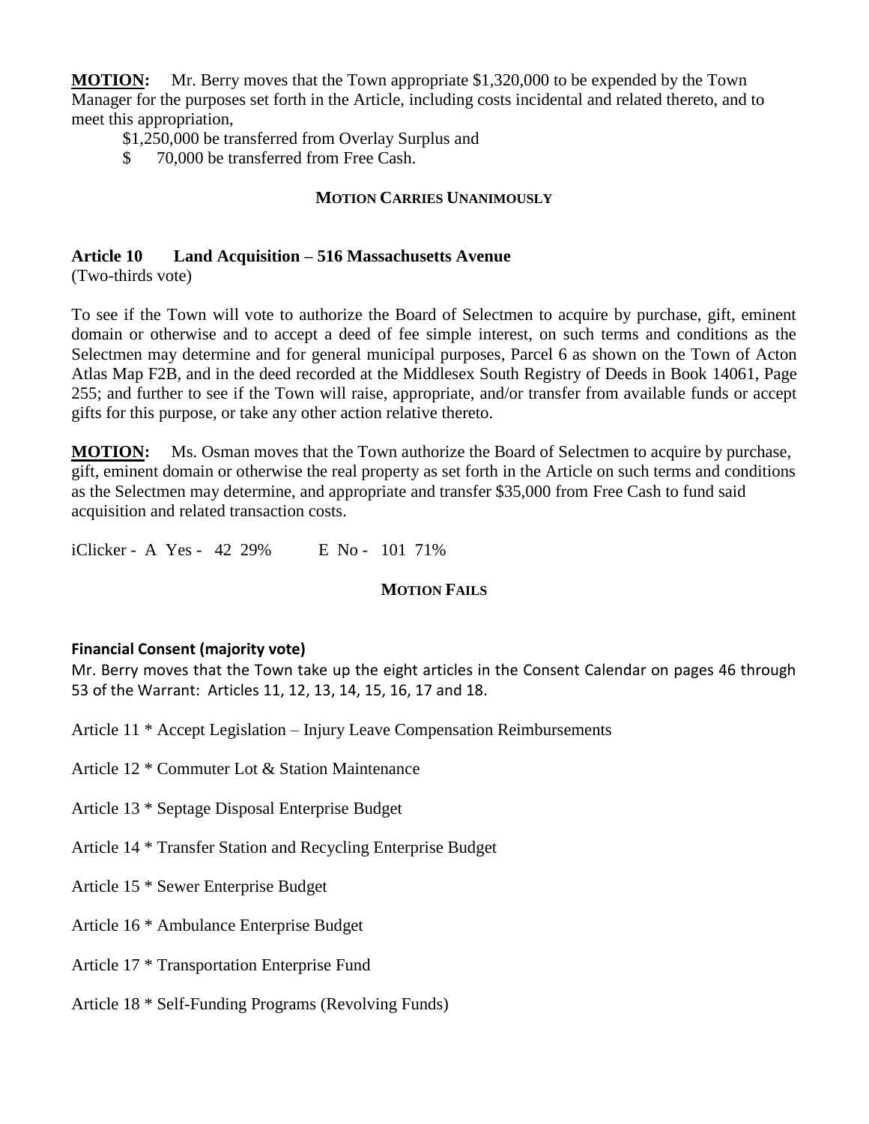**MOTION:** Mr. Berry moves that the Town appropriate \$1,320,000 to be expended by the Town Manager for the purposes set forth in the Article, including costs incidental and related thereto, and to meet this appropriation,

\$1,250,000 be transferred from Overlay Surplus and

\$ 70,000 be transferred from Free Cash.

## **MOTION CARRIES UNANIMOUSLY**

## **Article 10 Land Acquisition – 516 Massachusetts Avenue**

(Two-thirds vote)

To see if the Town will vote to authorize the Board of Selectmen to acquire by purchase, gift, eminent domain or otherwise and to accept a deed of fee simple interest, on such terms and conditions as the Selectmen may determine and for general municipal purposes, Parcel 6 as shown on the Town of Acton Atlas Map F2B, and in the deed recorded at the Middlesex South Registry of Deeds in Book 14061, Page 255; and further to see if the Town will raise, appropriate, and/or transfer from available funds or accept gifts for this purpose, or take any other action relative thereto.

**MOTION:** Ms. Osman moves that the Town authorize the Board of Selectmen to acquire by purchase, gift, eminent domain or otherwise the real property as set forth in the Article on such terms and conditions as the Selectmen may determine, and appropriate and transfer \$35,000 from Free Cash to fund said acquisition and related transaction costs.

iClicker - A Yes - 42 29% E No - 101 71%

## **MOTION FAILS**

## **Financial Consent (majority vote)**

Mr. Berry moves that the Town take up the eight articles in the Consent Calendar on pages 46 through 53 of the Warrant: Articles 11, 12, 13, 14, 15, 16, 17 and 18.

Article 11 \* Accept Legislation – Injury Leave Compensation Reimbursements

Article 12 \* Commuter Lot & Station Maintenance

Article 13 \* Septage Disposal Enterprise Budget

Article 14 \* Transfer Station and Recycling Enterprise Budget

Article 15 \* Sewer Enterprise Budget

Article 16 \* Ambulance Enterprise Budget

Article 17 \* Transportation Enterprise Fund

Article 18 \* Self-Funding Programs (Revolving Funds)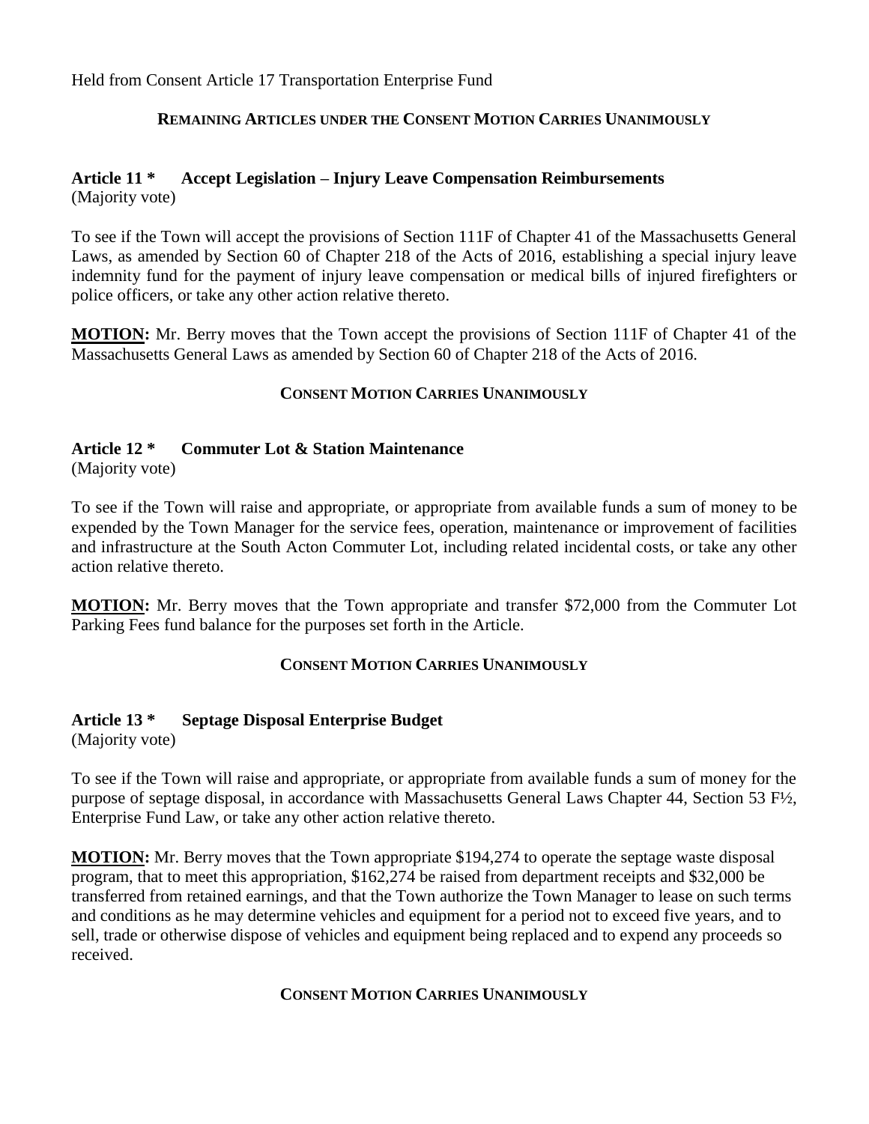Held from Consent Article 17 Transportation Enterprise Fund

## **REMAINING ARTICLES UNDER THE CONSENT MOTION CARRIES UNANIMOUSLY**

#### **Article 11 \* Accept Legislation – Injury Leave Compensation Reimbursements** (Majority vote)

To see if the Town will accept the provisions of Section 111F of Chapter 41 of the Massachusetts General Laws, as amended by Section 60 of Chapter 218 of the Acts of 2016, establishing a special injury leave indemnity fund for the payment of injury leave compensation or medical bills of injured firefighters or police officers, or take any other action relative thereto.

**MOTION:** Mr. Berry moves that the Town accept the provisions of Section 111F of Chapter 41 of the Massachusetts General Laws as amended by Section 60 of Chapter 218 of the Acts of 2016.

## **CONSENT MOTION CARRIES UNANIMOUSLY**

## **Article 12 \* Commuter Lot & Station Maintenance**

(Majority vote)

To see if the Town will raise and appropriate, or appropriate from available funds a sum of money to be expended by the Town Manager for the service fees, operation, maintenance or improvement of facilities and infrastructure at the South Acton Commuter Lot, including related incidental costs, or take any other action relative thereto.

**MOTION:** Mr. Berry moves that the Town appropriate and transfer \$72,000 from the Commuter Lot Parking Fees fund balance for the purposes set forth in the Article.

## **CONSENT MOTION CARRIES UNANIMOUSLY**

#### **Article 13 \* Septage Disposal Enterprise Budget**

(Majority vote)

To see if the Town will raise and appropriate, or appropriate from available funds a sum of money for the purpose of septage disposal, in accordance with Massachusetts General Laws Chapter 44, Section 53 F½, Enterprise Fund Law, or take any other action relative thereto.

**MOTION:** Mr. Berry moves that the Town appropriate \$194,274 to operate the septage waste disposal program, that to meet this appropriation, \$162,274 be raised from department receipts and \$32,000 be transferred from retained earnings, and that the Town authorize the Town Manager to lease on such terms and conditions as he may determine vehicles and equipment for a period not to exceed five years, and to sell, trade or otherwise dispose of vehicles and equipment being replaced and to expend any proceeds so received.

#### **CONSENT MOTION CARRIES UNANIMOUSLY**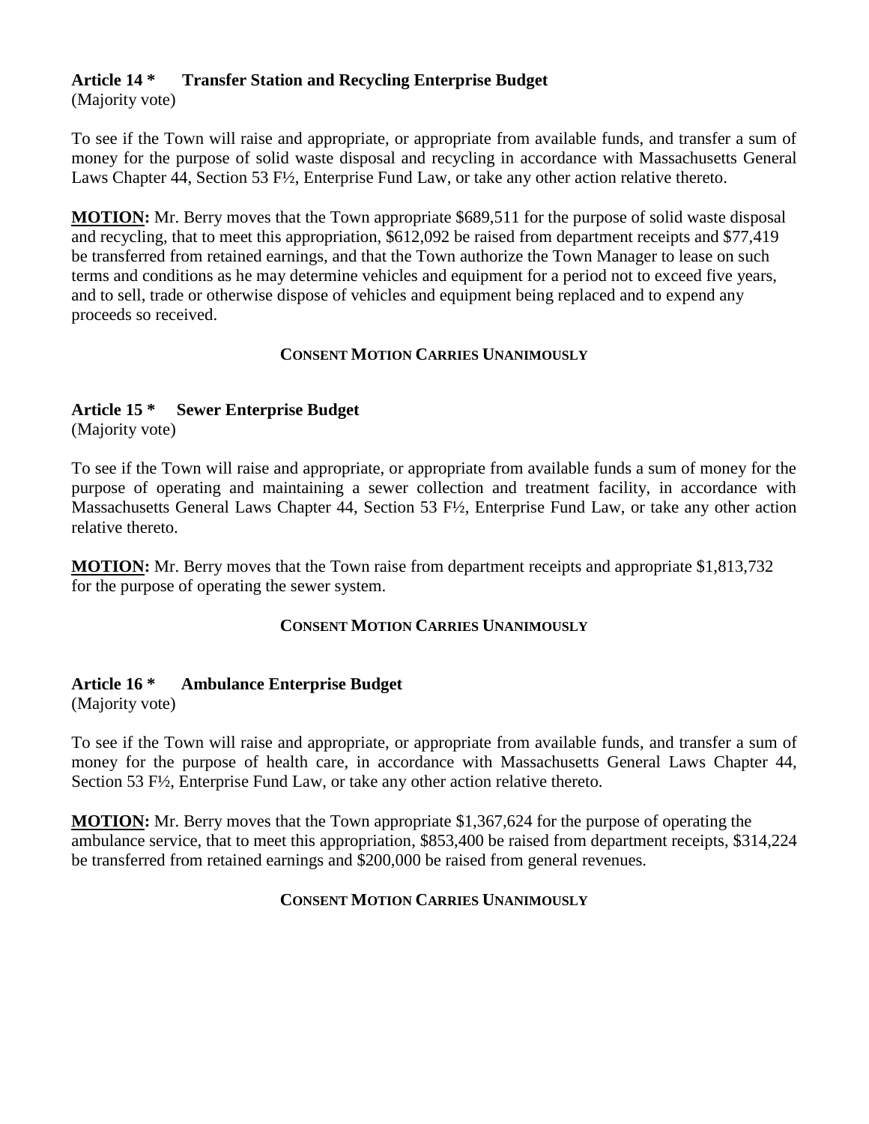## **Article 14 \* Transfer Station and Recycling Enterprise Budget**

(Majority vote)

To see if the Town will raise and appropriate, or appropriate from available funds, and transfer a sum of money for the purpose of solid waste disposal and recycling in accordance with Massachusetts General Laws Chapter 44, Section 53 F½, Enterprise Fund Law, or take any other action relative thereto.

**MOTION:** Mr. Berry moves that the Town appropriate \$689,511 for the purpose of solid waste disposal and recycling, that to meet this appropriation, \$612,092 be raised from department receipts and \$77,419 be transferred from retained earnings, and that the Town authorize the Town Manager to lease on such terms and conditions as he may determine vehicles and equipment for a period not to exceed five years, and to sell, trade or otherwise dispose of vehicles and equipment being replaced and to expend any proceeds so received.

## **CONSENT MOTION CARRIES UNANIMOUSLY**

## **Article 15 \* Sewer Enterprise Budget**

(Majority vote)

To see if the Town will raise and appropriate, or appropriate from available funds a sum of money for the purpose of operating and maintaining a sewer collection and treatment facility, in accordance with Massachusetts General Laws Chapter 44, Section 53 F½, Enterprise Fund Law, or take any other action relative thereto.

**MOTION:** Mr. Berry moves that the Town raise from department receipts and appropriate \$1,813,732 for the purpose of operating the sewer system.

## **CONSENT MOTION CARRIES UNANIMOUSLY**

## **Article 16 \* Ambulance Enterprise Budget**

(Majority vote)

To see if the Town will raise and appropriate, or appropriate from available funds, and transfer a sum of money for the purpose of health care, in accordance with Massachusetts General Laws Chapter 44, Section 53 F½, Enterprise Fund Law, or take any other action relative thereto.

**MOTION:** Mr. Berry moves that the Town appropriate \$1,367,624 for the purpose of operating the ambulance service, that to meet this appropriation, \$853,400 be raised from department receipts, \$314,224 be transferred from retained earnings and \$200,000 be raised from general revenues.

## **CONSENT MOTION CARRIES UNANIMOUSLY**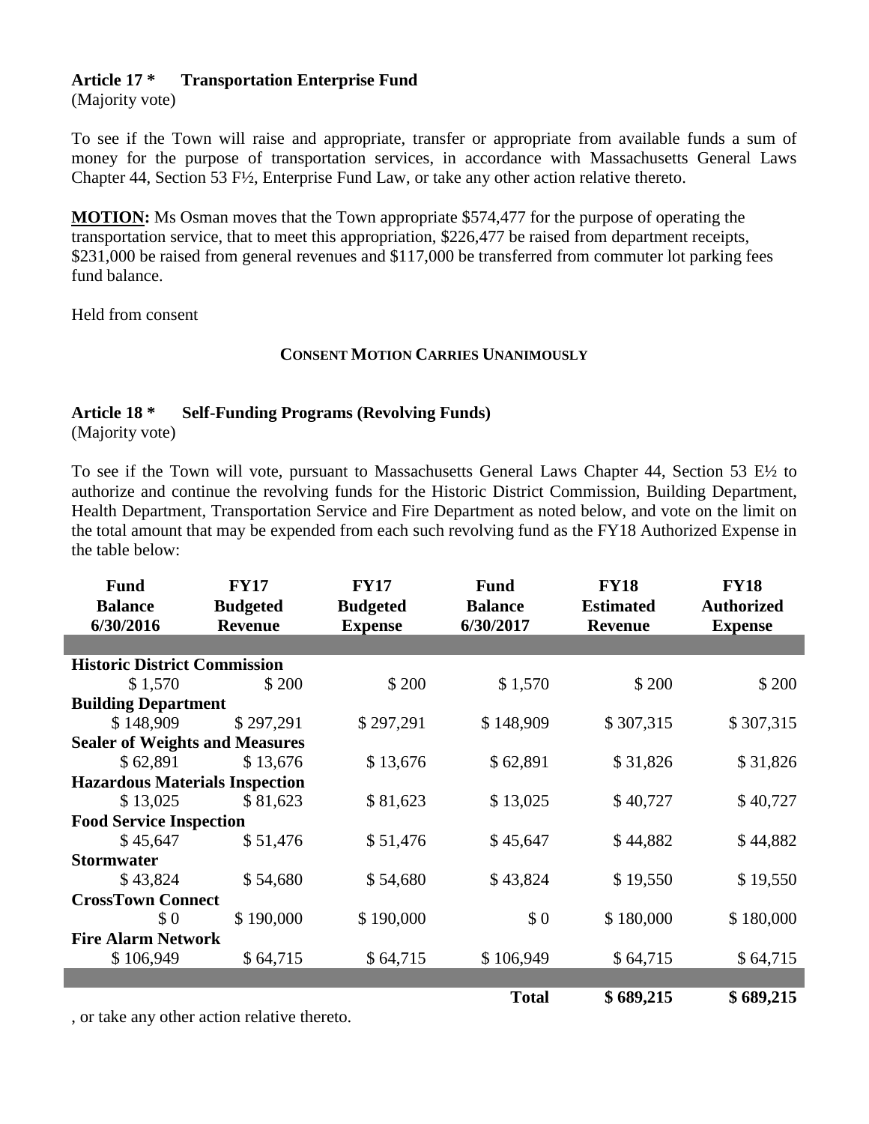## **Article 17 \* Transportation Enterprise Fund**

(Majority vote)

To see if the Town will raise and appropriate, transfer or appropriate from available funds a sum of money for the purpose of transportation services, in accordance with Massachusetts General Laws Chapter 44, Section 53 F½, Enterprise Fund Law, or take any other action relative thereto.

**MOTION:** Ms Osman moves that the Town appropriate \$574,477 for the purpose of operating the transportation service, that to meet this appropriation, \$226,477 be raised from department receipts, \$231,000 be raised from general revenues and \$117,000 be transferred from commuter lot parking fees fund balance.

Held from consent

## **CONSENT MOTION CARRIES UNANIMOUSLY**

## **Article 18 \* Self-Funding Programs (Revolving Funds)**

(Majority vote)

I

To see if the Town will vote, pursuant to Massachusetts General Laws Chapter 44, Section 53 E½ to authorize and continue the revolving funds for the Historic District Commission, Building Department, Health Department, Transportation Service and Fire Department as noted below, and vote on the limit on the total amount that may be expended from each such revolving fund as the FY18 Authorized Expense in the table below:

| <b>Fund</b>                           | <b>FY17</b>     | <b>FY17</b>     | <b>Fund</b>    | <b>FY18</b>      | <b>FY18</b>       |
|---------------------------------------|-----------------|-----------------|----------------|------------------|-------------------|
| <b>Balance</b>                        | <b>Budgeted</b> | <b>Budgeted</b> | <b>Balance</b> | <b>Estimated</b> | <b>Authorized</b> |
| 6/30/2016                             | <b>Revenue</b>  | <b>Expense</b>  | 6/30/2017      | <b>Revenue</b>   | <b>Expense</b>    |
|                                       |                 |                 |                |                  |                   |
| <b>Historic District Commission</b>   |                 |                 |                |                  |                   |
| \$1,570                               | \$ 200          | \$200           | \$1,570        | \$200            | \$200             |
| <b>Building Department</b>            |                 |                 |                |                  |                   |
| \$148,909                             | \$297,291       | \$297,291       | \$148,909      | \$307,315        | \$307,315         |
| <b>Sealer of Weights and Measures</b> |                 |                 |                |                  |                   |
| \$62,891                              | \$13,676        | \$13,676        | \$62,891       | \$31,826         | \$31,826          |
| <b>Hazardous Materials Inspection</b> |                 |                 |                |                  |                   |
| \$13,025                              | \$81,623        | \$81,623        | \$13,025       | \$40,727         | \$40,727          |
| <b>Food Service Inspection</b>        |                 |                 |                |                  |                   |
| \$45,647                              | \$51,476        | \$51,476        | \$45,647       | \$44,882         | \$44,882          |
| <b>Stormwater</b>                     |                 |                 |                |                  |                   |
| \$43,824                              | \$54,680        | \$54,680        | \$43,824       | \$19,550         | \$19,550          |
| <b>CrossTown Connect</b>              |                 |                 |                |                  |                   |
| \$0                                   | \$190,000       | \$190,000       | \$0            | \$180,000        | \$180,000         |
| <b>Fire Alarm Network</b>             |                 |                 |                |                  |                   |
| \$106,949                             | \$64,715        | \$64,715        | \$106,949      | \$64,715         | \$64,715          |
|                                       |                 |                 |                |                  |                   |
|                                       |                 |                 | <b>Total</b>   | \$689,215        | \$689,215         |

, or take any other action relative thereto.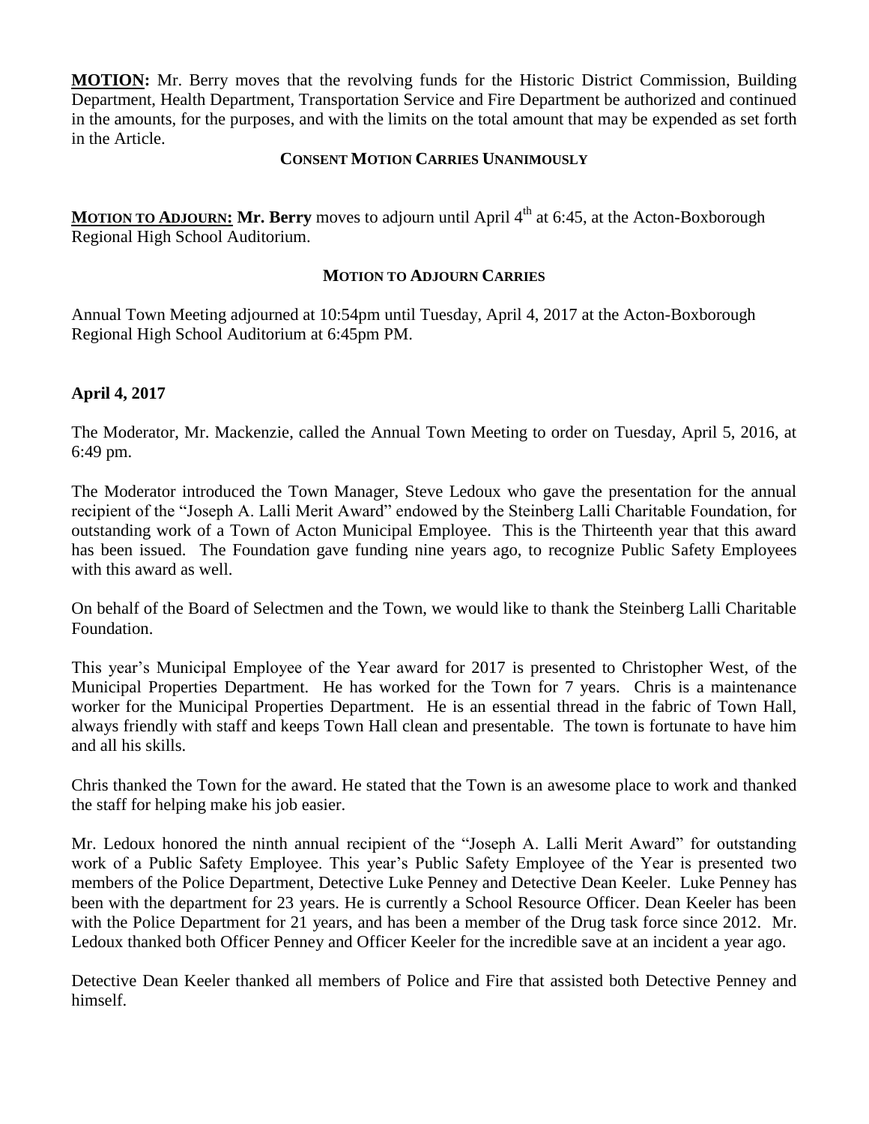**MOTION:** Mr. Berry moves that the revolving funds for the Historic District Commission, Building Department, Health Department, Transportation Service and Fire Department be authorized and continued in the amounts, for the purposes, and with the limits on the total amount that may be expended as set forth in the Article.

#### **CONSENT MOTION CARRIES UNANIMOUSLY**

**MOTION TO ADJOURN: Mr. Berry** moves to adjourn until April 4<sup>th</sup> at 6:45, at the Acton-Boxborough Regional High School Auditorium.

## **MOTION TO ADJOURN CARRIES**

Annual Town Meeting adjourned at 10:54pm until Tuesday, April 4, 2017 at the Acton-Boxborough Regional High School Auditorium at 6:45pm PM.

## **April 4, 2017**

The Moderator, Mr. Mackenzie, called the Annual Town Meeting to order on Tuesday, April 5, 2016, at 6:49 pm.

The Moderator introduced the Town Manager, Steve Ledoux who gave the presentation for the annual recipient of the "Joseph A. Lalli Merit Award" endowed by the Steinberg Lalli Charitable Foundation, for outstanding work of a Town of Acton Municipal Employee. This is the Thirteenth year that this award has been issued. The Foundation gave funding nine years ago, to recognize Public Safety Employees with this award as well.

On behalf of the Board of Selectmen and the Town, we would like to thank the Steinberg Lalli Charitable Foundation.

This year's Municipal Employee of the Year award for 2017 is presented to Christopher West, of the Municipal Properties Department. He has worked for the Town for 7 years. Chris is a maintenance worker for the Municipal Properties Department. He is an essential thread in the fabric of Town Hall, always friendly with staff and keeps Town Hall clean and presentable. The town is fortunate to have him and all his skills.

Chris thanked the Town for the award. He stated that the Town is an awesome place to work and thanked the staff for helping make his job easier.

Mr. Ledoux honored the ninth annual recipient of the "Joseph A. Lalli Merit Award" for outstanding work of a Public Safety Employee. This year's Public Safety Employee of the Year is presented two members of the Police Department, Detective Luke Penney and Detective Dean Keeler. Luke Penney has been with the department for 23 years. He is currently a School Resource Officer. Dean Keeler has been with the Police Department for 21 years, and has been a member of the Drug task force since 2012. Mr. Ledoux thanked both Officer Penney and Officer Keeler for the incredible save at an incident a year ago.

Detective Dean Keeler thanked all members of Police and Fire that assisted both Detective Penney and himself.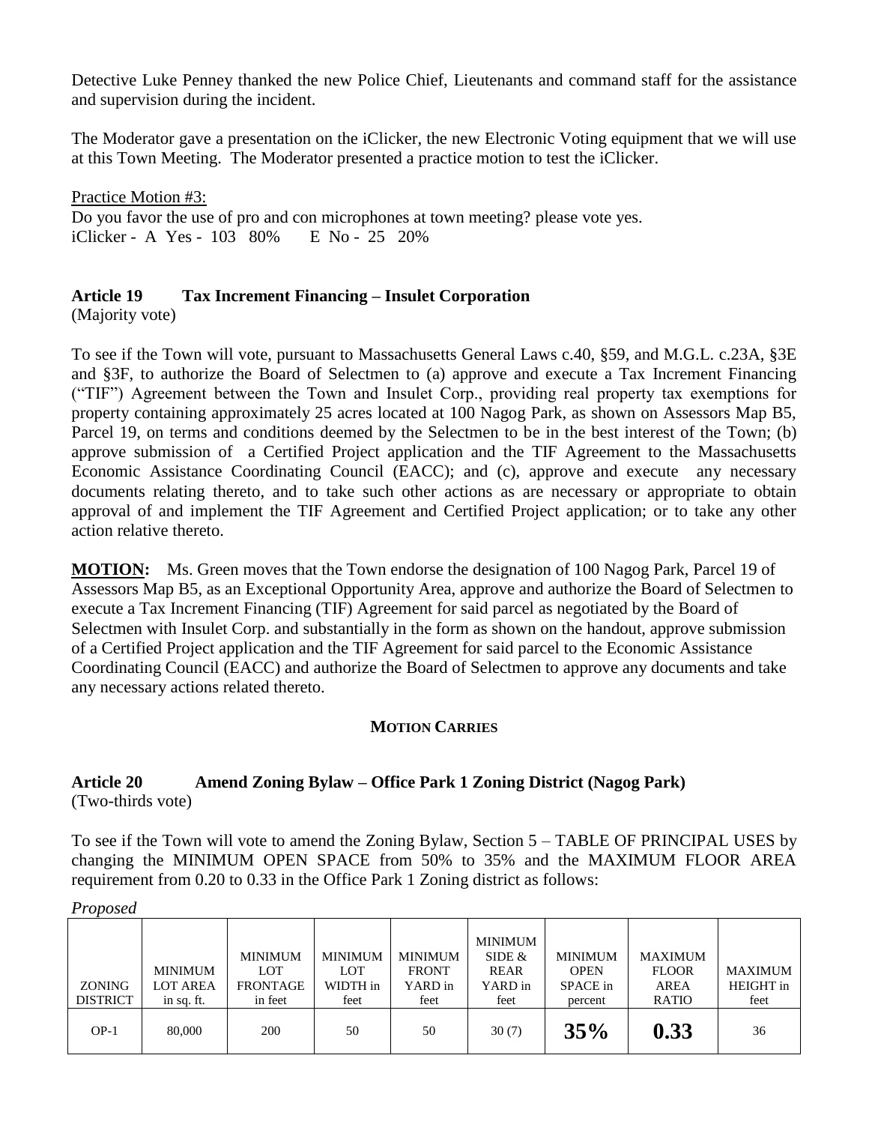Detective Luke Penney thanked the new Police Chief, Lieutenants and command staff for the assistance and supervision during the incident.

The Moderator gave a presentation on the iClicker, the new Electronic Voting equipment that we will use at this Town Meeting. The Moderator presented a practice motion to test the iClicker.

Practice Motion #3: Do you favor the use of pro and con microphones at town meeting? please vote yes. iClicker - A Yes - 103 80% E No - 25 20%

## **Article 19 Tax Increment Financing – Insulet Corporation**

(Majority vote)

To see if the Town will vote, pursuant to Massachusetts General Laws c.40, §59, and M.G.L. c.23A, §3E and §3F, to authorize the Board of Selectmen to (a) approve and execute a Tax Increment Financing ("TIF") Agreement between the Town and Insulet Corp., providing real property tax exemptions for property containing approximately 25 acres located at 100 Nagog Park, as shown on Assessors Map B5, Parcel 19, on terms and conditions deemed by the Selectmen to be in the best interest of the Town; (b) approve submission of a Certified Project application and the TIF Agreement to the Massachusetts Economic Assistance Coordinating Council (EACC); and (c), approve and execute any necessary documents relating thereto, and to take such other actions as are necessary or appropriate to obtain approval of and implement the TIF Agreement and Certified Project application; or to take any other action relative thereto.

**MOTION:** Ms. Green moves that the Town endorse the designation of 100 Nagog Park, Parcel 19 of Assessors Map B5, as an Exceptional Opportunity Area, approve and authorize the Board of Selectmen to execute a Tax Increment Financing (TIF) Agreement for said parcel as negotiated by the Board of Selectmen with Insulet Corp. and substantially in the form as shown on the handout, approve submission of a Certified Project application and the TIF Agreement for said parcel to the Economic Assistance Coordinating Council (EACC) and authorize the Board of Selectmen to approve any documents and take any necessary actions related thereto.

## **MOTION CARRIES**

# **Article 20 Amend Zoning Bylaw – Office Park 1 Zoning District (Nagog Park)**

(Two-thirds vote)

To see if the Town will vote to amend the Zoning Bylaw, Section 5 – TABLE OF PRINCIPAL USES by changing the MINIMUM OPEN SPACE from 50% to 35% and the MAXIMUM FLOOR AREA requirement from 0.20 to 0.33 in the Office Park 1 Zoning district as follows:

| - - - - - - - -                  |                                                 |                                                     |                                           |                                                   |                                                       |                                                      |                                                               |                              |
|----------------------------------|-------------------------------------------------|-----------------------------------------------------|-------------------------------------------|---------------------------------------------------|-------------------------------------------------------|------------------------------------------------------|---------------------------------------------------------------|------------------------------|
| <b>ZONING</b><br><b>DISTRICT</b> | <b>MINIMUM</b><br><b>LOT AREA</b><br>in sq. ft. | <b>MINIMUM</b><br>LOT<br><b>FRONTAGE</b><br>in feet | <b>MINIMUM</b><br>LOT<br>WIDTH in<br>feet | <b>MINIMUM</b><br><b>FRONT</b><br>YARD in<br>feet | <b>MINIMUM</b><br>SIDE $&$<br>REAR<br>YARD in<br>feet | <b>MINIMUM</b><br><b>OPEN</b><br>SPACE in<br>percent | <b>MAXIMUM</b><br><b>FLOOR</b><br><b>AREA</b><br><b>RATIO</b> | MAXIMUM<br>HEIGHT in<br>feet |
| $OP-1$                           | 80,000                                          | 200                                                 | 50                                        | 50                                                | 30(7)                                                 | 35%                                                  | 0.33                                                          | 36                           |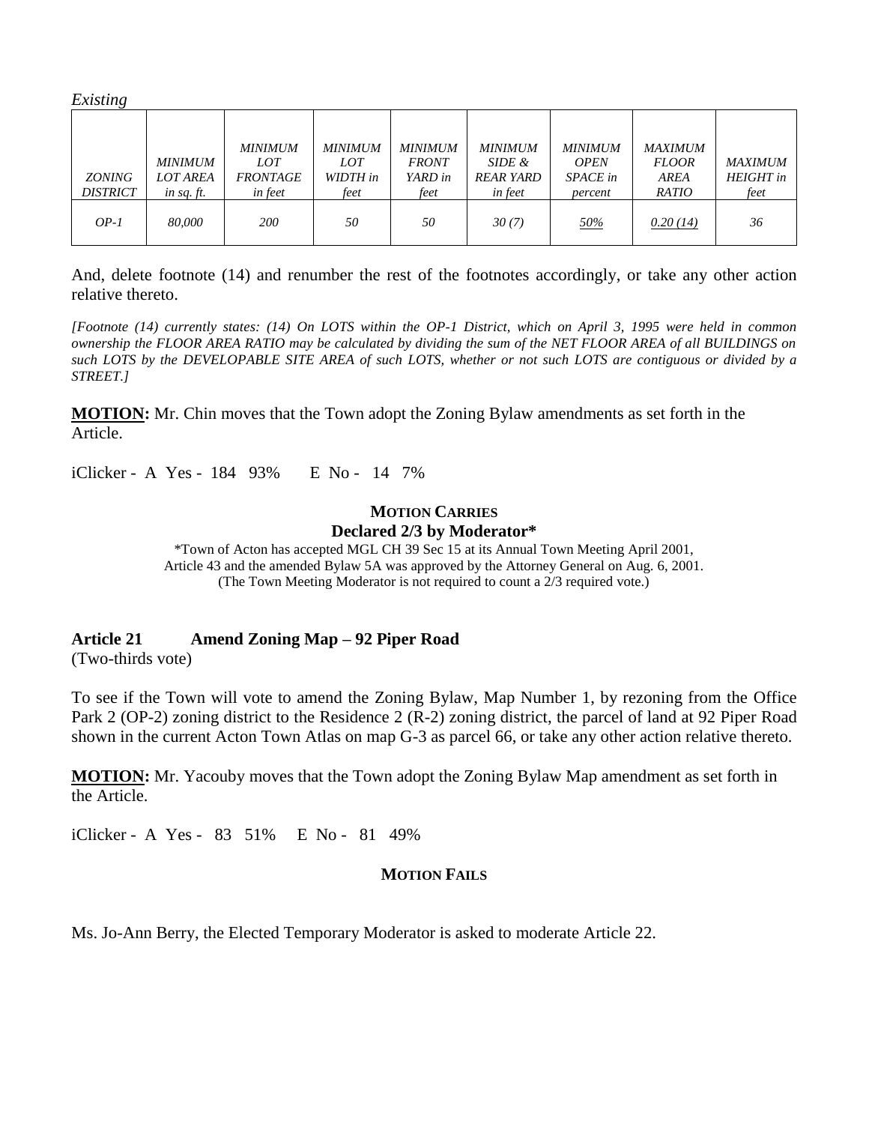*Existing* 

| <b>ZONING</b><br><b>DISTRICT</b> | <b>MINIMUM</b><br><b>LOT AREA</b><br>in sq. $ft$ . | <b>MINIMUM</b><br>LOT<br><b>FRONTAGE</b><br><i>in feet</i> | <b>MINIMUM</b><br>LOT<br>WIDTH in<br>feet | <b>MINIMUM</b><br><b>FRONT</b><br>YARD in<br>feet | <b>MINIMUM</b><br>SIDE &<br><b>REAR YARD</b><br>in feet | <b>MINIMUM</b><br><b>OPEN</b><br><b>SPACE</b> in<br>percent | <b>MAXIMUM</b><br><b>FLOOR</b><br>AREA<br><b>RATIO</b> | <b>MAXIMUM</b><br><b>HEIGHT</b> in<br>feet |
|----------------------------------|----------------------------------------------------|------------------------------------------------------------|-------------------------------------------|---------------------------------------------------|---------------------------------------------------------|-------------------------------------------------------------|--------------------------------------------------------|--------------------------------------------|
| $OP-I$                           | 80,000                                             | <i>200</i>                                                 | 50                                        | 50                                                | 30(7)                                                   | <u>50%</u>                                                  | 0.20(14)                                               | 36                                         |

And, delete footnote (14) and renumber the rest of the footnotes accordingly, or take any other action relative thereto.

*[Footnote (14) currently states: (14) On LOTS within the OP-1 District, which on April 3, 1995 were held in common ownership the FLOOR AREA RATIO may be calculated by dividing the sum of the NET FLOOR AREA of all BUILDINGS on such LOTS by the DEVELOPABLE SITE AREA of such LOTS, whether or not such LOTS are contiguous or divided by a STREET.]*

**MOTION:** Mr. Chin moves that the Town adopt the Zoning Bylaw amendments as set forth in the Article.

iClicker - A Yes - 184 93% E No - 14 7%

## **MOTION CARRIES**

#### **Declared 2/3 by Moderator\***

\*Town of Acton has accepted MGL CH 39 Sec 15 at its Annual Town Meeting April 2001, Article 43 and the amended Bylaw 5A was approved by the Attorney General on Aug. 6, 2001. (The Town Meeting Moderator is not required to count a 2/3 required vote.)

#### **Article 21 Amend Zoning Map – 92 Piper Road**

(Two-thirds vote)

To see if the Town will vote to amend the Zoning Bylaw, Map Number 1, by rezoning from the Office Park 2 (OP-2) zoning district to the Residence 2 (R-2) zoning district, the parcel of land at 92 Piper Road shown in the current Acton Town Atlas on map G-3 as parcel 66, or take any other action relative thereto.

**MOTION:** Mr. Yacouby moves that the Town adopt the Zoning Bylaw Map amendment as set forth in the Article.

iClicker - A Yes - 83 51% E No - 81 49%

#### **MOTION FAILS**

Ms. Jo-Ann Berry, the Elected Temporary Moderator is asked to moderate Article 22.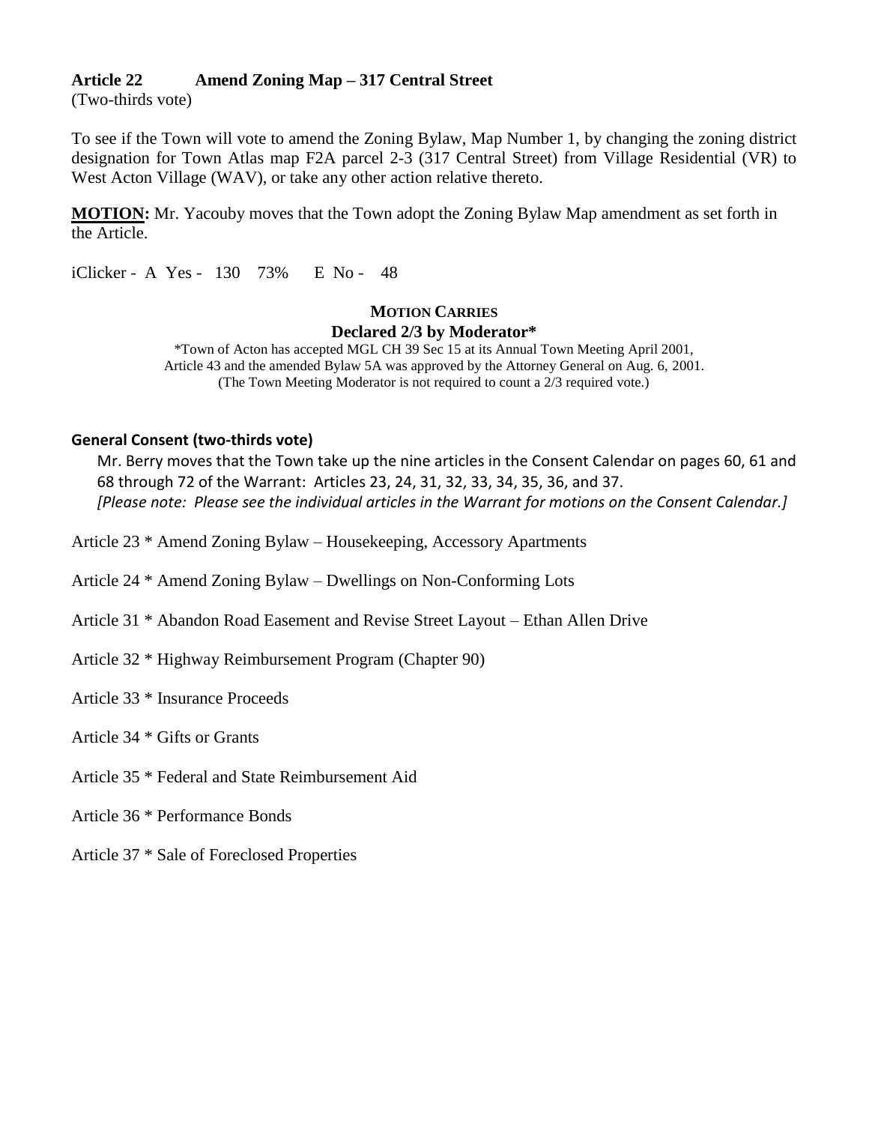#### **Article 22 Amend Zoning Map – 317 Central Street**

(Two-thirds vote)

To see if the Town will vote to amend the Zoning Bylaw, Map Number 1, by changing the zoning district designation for Town Atlas map F2A parcel 2-3 (317 Central Street) from Village Residential (VR) to West Acton Village (WAV), or take any other action relative thereto.

**MOTION:** Mr. Yacouby moves that the Town adopt the Zoning Bylaw Map amendment as set forth in the Article.

iClicker - A Yes - 130 73% E No - 48

## **MOTION CARRIES Declared 2/3 by Moderator\***

\*Town of Acton has accepted MGL CH 39 Sec 15 at its Annual Town Meeting April 2001, Article 43 and the amended Bylaw 5A was approved by the Attorney General on Aug. 6, 2001. (The Town Meeting Moderator is not required to count a 2/3 required vote.)

#### **General Consent (two-thirds vote)**

Mr. Berry moves that the Town take up the nine articles in the Consent Calendar on pages 60, 61 and 68 through 72 of the Warrant: Articles 23, 24, 31, 32, 33, 34, 35, 36, and 37. *[Please note: Please see the individual articles in the Warrant for motions on the Consent Calendar.]*

Article 23 \* Amend Zoning Bylaw – Housekeeping, Accessory Apartments

Article 24 \* Amend Zoning Bylaw – Dwellings on Non-Conforming Lots

Article 31 \* Abandon Road Easement and Revise Street Layout – Ethan Allen Drive

Article 32 \* Highway Reimbursement Program (Chapter 90)

Article 33 \* Insurance Proceeds

Article 34 \* Gifts or Grants

Article 35 \* Federal and State Reimbursement Aid

Article 36 \* Performance Bonds

Article 37 \* Sale of Foreclosed Properties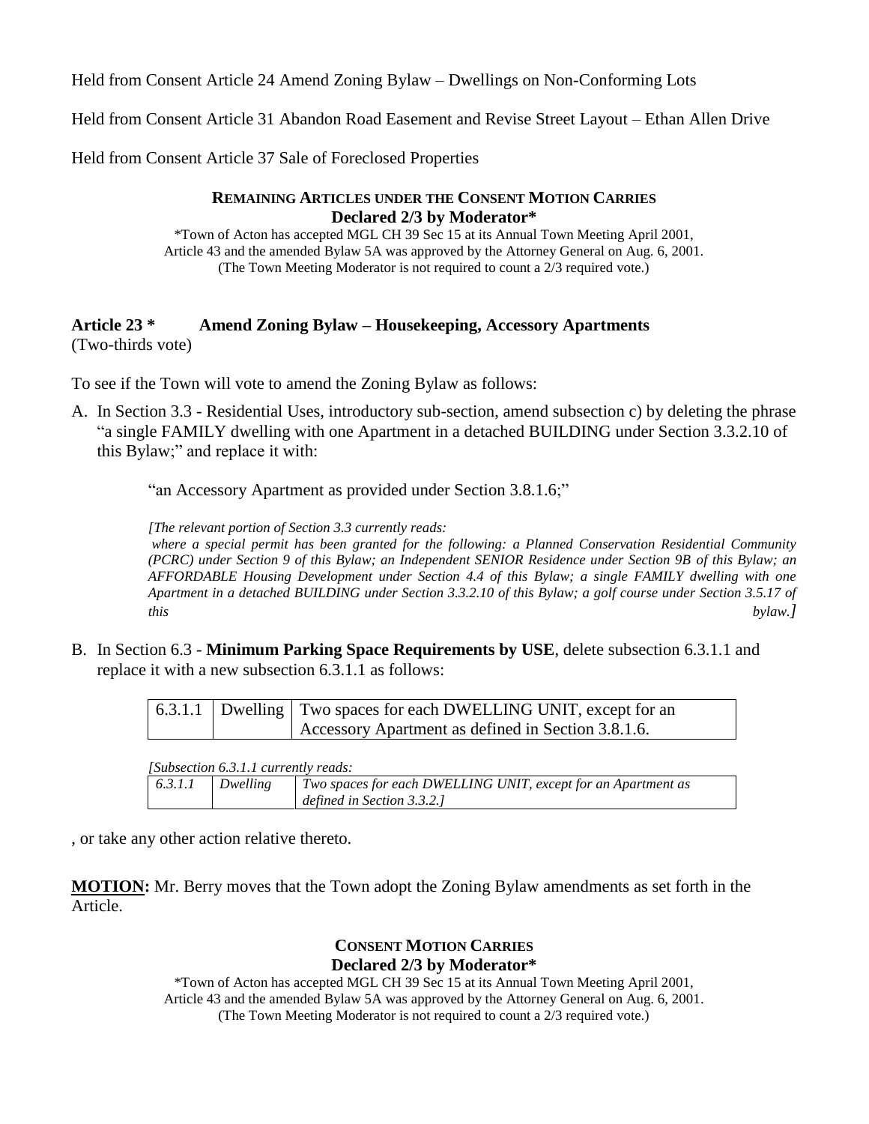Held from Consent Article 24 Amend Zoning Bylaw – Dwellings on Non-Conforming Lots

Held from Consent Article 31 Abandon Road Easement and Revise Street Layout – Ethan Allen Drive

Held from Consent Article 37 Sale of Foreclosed Properties

#### **REMAINING ARTICLES UNDER THE CONSENT MOTION CARRIES Declared 2/3 by Moderator\***

\*Town of Acton has accepted MGL CH 39 Sec 15 at its Annual Town Meeting April 2001, Article 43 and the amended Bylaw 5A was approved by the Attorney General on Aug. 6, 2001. (The Town Meeting Moderator is not required to count a 2/3 required vote.)

#### **Article 23 \* Amend Zoning Bylaw – Housekeeping, Accessory Apartments** (Two-thirds vote)

To see if the Town will vote to amend the Zoning Bylaw as follows:

A. In Section 3.3 - Residential Uses, introductory sub-section, amend subsection c) by deleting the phrase "a single FAMILY dwelling with one Apartment in a detached BUILDING under Section 3.3.2.10 of this Bylaw;" and replace it with:

"an Accessory Apartment as provided under Section 3.8.1.6;"

*[The relevant portion of Section 3.3 currently reads:*

*where a special permit has been granted for the following: a Planned Conservation Residential Community (PCRC) under Section 9 of this Bylaw; an Independent SENIOR Residence under Section 9B of this Bylaw; an AFFORDABLE Housing Development under Section 4.4 of this Bylaw; a single FAMILY dwelling with one Apartment in a detached BUILDING under Section 3.3.2.10 of this Bylaw; a golf course under Section 3.5.17 of this bylaw.]*

B. In Section 6.3 - **Minimum Parking Space Requirements by USE**, delete subsection 6.3.1.1 and replace it with a new subsection 6.3.1.1 as follows:

|  | 6.3.1.1   Dwelling   Two spaces for each DWELLING UNIT, except for an |
|--|-----------------------------------------------------------------------|
|  | Accessory Apartment as defined in Section 3.8.1.6.                    |

| <i>Subsection 6.3.1.1 currently reads:</i> |          |                                                               |  |  |  |  |  |
|--------------------------------------------|----------|---------------------------------------------------------------|--|--|--|--|--|
| 6.3.1.1                                    | Dwelline | Two spaces for each DWELLING UNIT, except for an Apartment as |  |  |  |  |  |
|                                            |          | defined in Section 3.3.2.]                                    |  |  |  |  |  |

, or take any other action relative thereto.

**MOTION:** Mr. Berry moves that the Town adopt the Zoning Bylaw amendments as set forth in the Article.

## **CONSENT MOTION CARRIES Declared 2/3 by Moderator\***

\*Town of Acton has accepted MGL CH 39 Sec 15 at its Annual Town Meeting April 2001, Article 43 and the amended Bylaw 5A was approved by the Attorney General on Aug. 6, 2001. (The Town Meeting Moderator is not required to count a 2/3 required vote.)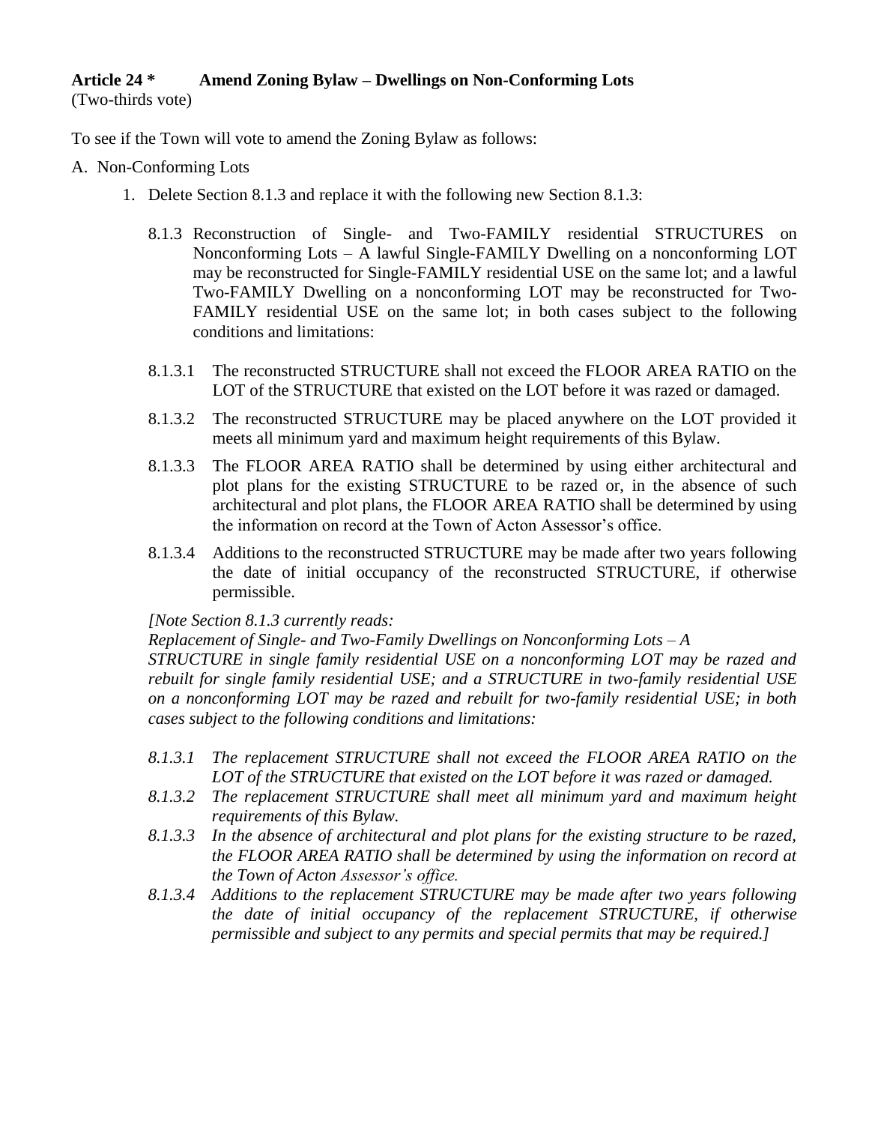## **Article 24 \* Amend Zoning Bylaw – Dwellings on Non-Conforming Lots**

(Two-thirds vote)

To see if the Town will vote to amend the Zoning Bylaw as follows:

## A. Non-Conforming Lots

- 1. Delete Section 8.1.3 and replace it with the following new Section 8.1.3:
	- 8.1.3 Reconstruction of Single- and Two-FAMILY residential STRUCTURES on Nonconforming Lots – A lawful Single-FAMILY Dwelling on a nonconforming LOT may be reconstructed for Single-FAMILY residential USE on the same lot; and a lawful Two-FAMILY Dwelling on a nonconforming LOT may be reconstructed for Two-FAMILY residential USE on the same lot; in both cases subject to the following conditions and limitations:
	- 8.1.3.1 The reconstructed STRUCTURE shall not exceed the FLOOR AREA RATIO on the LOT of the STRUCTURE that existed on the LOT before it was razed or damaged.
	- 8.1.3.2 The reconstructed STRUCTURE may be placed anywhere on the LOT provided it meets all minimum yard and maximum height requirements of this Bylaw.
	- 8.1.3.3 The FLOOR AREA RATIO shall be determined by using either architectural and plot plans for the existing STRUCTURE to be razed or, in the absence of such architectural and plot plans, the FLOOR AREA RATIO shall be determined by using the information on record at the Town of Acton Assessor's office.
	- 8.1.3.4 Additions to the reconstructed STRUCTURE may be made after two years following the date of initial occupancy of the reconstructed STRUCTURE, if otherwise permissible.

## *[Note Section 8.1.3 currently reads:*

*Replacement of Single- and Two-Family Dwellings on Nonconforming Lots – A*

*STRUCTURE in single family residential USE on a nonconforming LOT may be razed and rebuilt for single family residential USE; and a STRUCTURE in two-family residential USE on a nonconforming LOT may be razed and rebuilt for two-family residential USE; in both cases subject to the following conditions and limitations:*

- *8.1.3.1 The replacement STRUCTURE shall not exceed the FLOOR AREA RATIO on the LOT of the STRUCTURE that existed on the LOT before it was razed or damaged.*
- *8.1.3.2 The replacement STRUCTURE shall meet all minimum yard and maximum height requirements of this Bylaw.*
- *8.1.3.3 In the absence of architectural and plot plans for the existing structure to be razed, the FLOOR AREA RATIO shall be determined by using the information on record at the Town of Acton Assessor's office.*
- *8.1.3.4 Additions to the replacement STRUCTURE may be made after two years following the date of initial occupancy of the replacement STRUCTURE, if otherwise permissible and subject to any permits and special permits that may be required.]*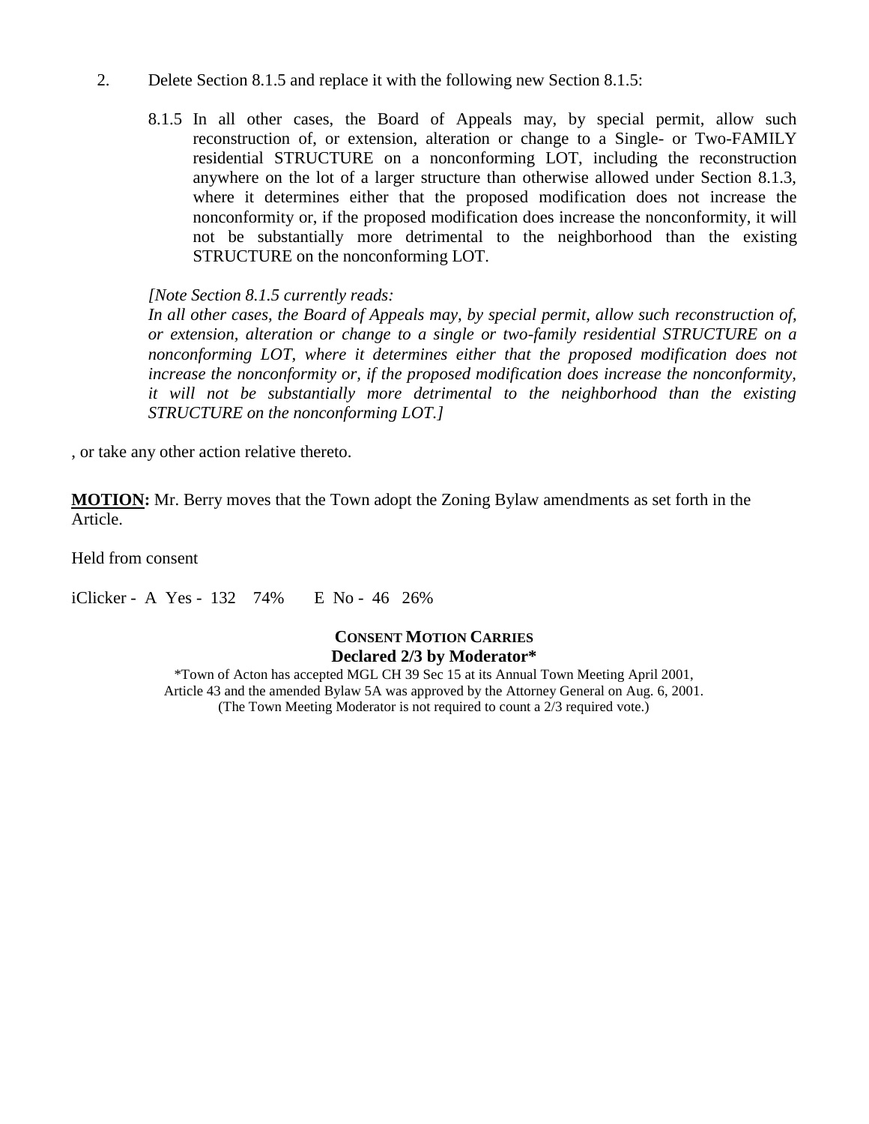- 2. Delete Section 8.1.5 and replace it with the following new Section 8.1.5:
	- 8.1.5 In all other cases, the Board of Appeals may, by special permit, allow such reconstruction of, or extension, alteration or change to a Single- or Two-FAMILY residential STRUCTURE on a nonconforming LOT, including the reconstruction anywhere on the lot of a larger structure than otherwise allowed under Section 8.1.3, where it determines either that the proposed modification does not increase the nonconformity or, if the proposed modification does increase the nonconformity, it will not be substantially more detrimental to the neighborhood than the existing STRUCTURE on the nonconforming LOT.

*[Note Section 8.1.5 currently reads:*

*In all other cases, the Board of Appeals may, by special permit, allow such reconstruction of, or extension, alteration or change to a single or two-family residential STRUCTURE on a nonconforming LOT, where it determines either that the proposed modification does not increase the nonconformity or, if the proposed modification does increase the nonconformity, it will not be substantially more detrimental to the neighborhood than the existing STRUCTURE on the nonconforming LOT.]*

, or take any other action relative thereto.

**MOTION:** Mr. Berry moves that the Town adopt the Zoning Bylaw amendments as set forth in the Article.

Held from consent

iClicker - A Yes - 132 74% E No - 46 26%

## **CONSENT MOTION CARRIES Declared 2/3 by Moderator\***

\*Town of Acton has accepted MGL CH 39 Sec 15 at its Annual Town Meeting April 2001, Article 43 and the amended Bylaw 5A was approved by the Attorney General on Aug. 6, 2001. (The Town Meeting Moderator is not required to count a 2/3 required vote.)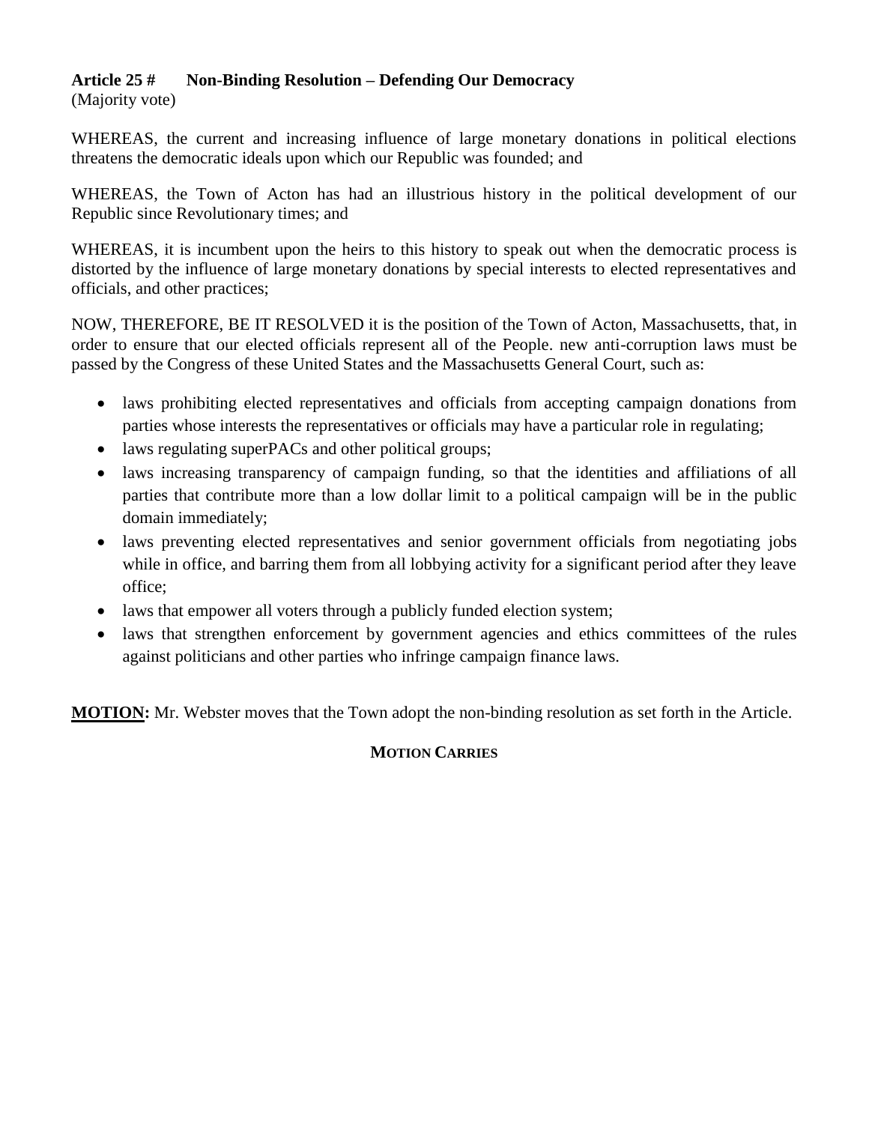## **Article 25 # Non-Binding Resolution – Defending Our Democracy**

(Majority vote)

WHEREAS, the current and increasing influence of large monetary donations in political elections threatens the democratic ideals upon which our Republic was founded; and

WHEREAS, the Town of Acton has had an illustrious history in the political development of our Republic since Revolutionary times; and

WHEREAS, it is incumbent upon the heirs to this history to speak out when the democratic process is distorted by the influence of large monetary donations by special interests to elected representatives and officials, and other practices;

NOW, THEREFORE, BE IT RESOLVED it is the position of the Town of Acton, Massachusetts, that, in order to ensure that our elected officials represent all of the People. new anti-corruption laws must be passed by the Congress of these United States and the Massachusetts General Court, such as:

- laws prohibiting elected representatives and officials from accepting campaign donations from parties whose interests the representatives or officials may have a particular role in regulating;
- laws regulating superPACs and other political groups;
- laws increasing transparency of campaign funding, so that the identities and affiliations of all parties that contribute more than a low dollar limit to a political campaign will be in the public domain immediately;
- laws preventing elected representatives and senior government officials from negotiating jobs while in office, and barring them from all lobbying activity for a significant period after they leave office;
- laws that empower all voters through a publicly funded election system;
- laws that strengthen enforcement by government agencies and ethics committees of the rules against politicians and other parties who infringe campaign finance laws.

**MOTION:** Mr. Webster moves that the Town adopt the non-binding resolution as set forth in the Article.

## **MOTION CARRIES**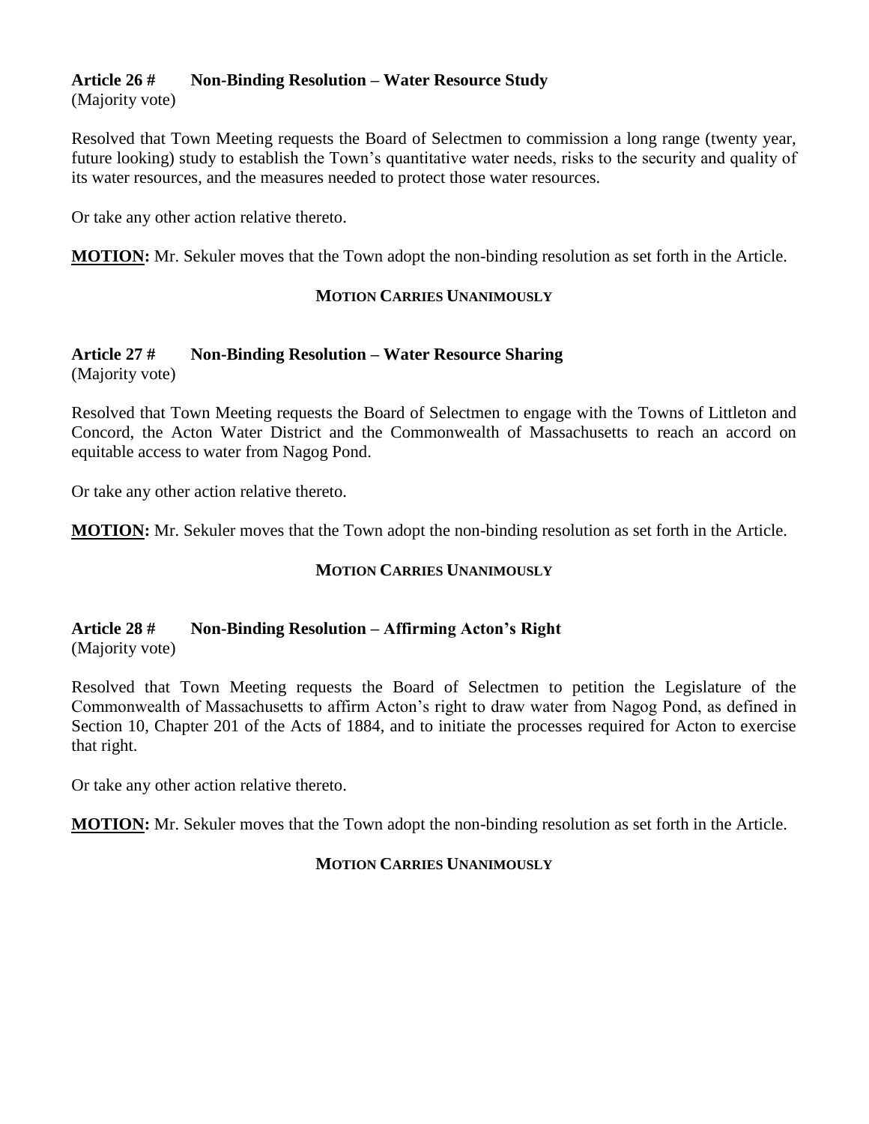## **Article 26 # Non-Binding Resolution – Water Resource Study**

(Majority vote)

Resolved that Town Meeting requests the Board of Selectmen to commission a long range (twenty year, future looking) study to establish the Town's quantitative water needs, risks to the security and quality of its water resources, and the measures needed to protect those water resources.

Or take any other action relative thereto.

**MOTION:** Mr. Sekuler moves that the Town adopt the non-binding resolution as set forth in the Article.

## **MOTION CARRIES UNANIMOUSLY**

#### **Article 27 # Non-Binding Resolution – Water Resource Sharing** (Majority vote)

Resolved that Town Meeting requests the Board of Selectmen to engage with the Towns of Littleton and Concord, the Acton Water District and the Commonwealth of Massachusetts to reach an accord on equitable access to water from Nagog Pond.

Or take any other action relative thereto.

**MOTION:** Mr. Sekuler moves that the Town adopt the non-binding resolution as set forth in the Article.

## **MOTION CARRIES UNANIMOUSLY**

#### **Article 28 # Non-Binding Resolution – Affirming Acton's Right** (Majority vote)

Resolved that Town Meeting requests the Board of Selectmen to petition the Legislature of the Commonwealth of Massachusetts to affirm Acton's right to draw water from Nagog Pond, as defined in Section 10, Chapter 201 of the Acts of 1884, and to initiate the processes required for Acton to exercise that right.

Or take any other action relative thereto.

**MOTION:** Mr. Sekuler moves that the Town adopt the non-binding resolution as set forth in the Article.

## **MOTION CARRIES UNANIMOUSLY**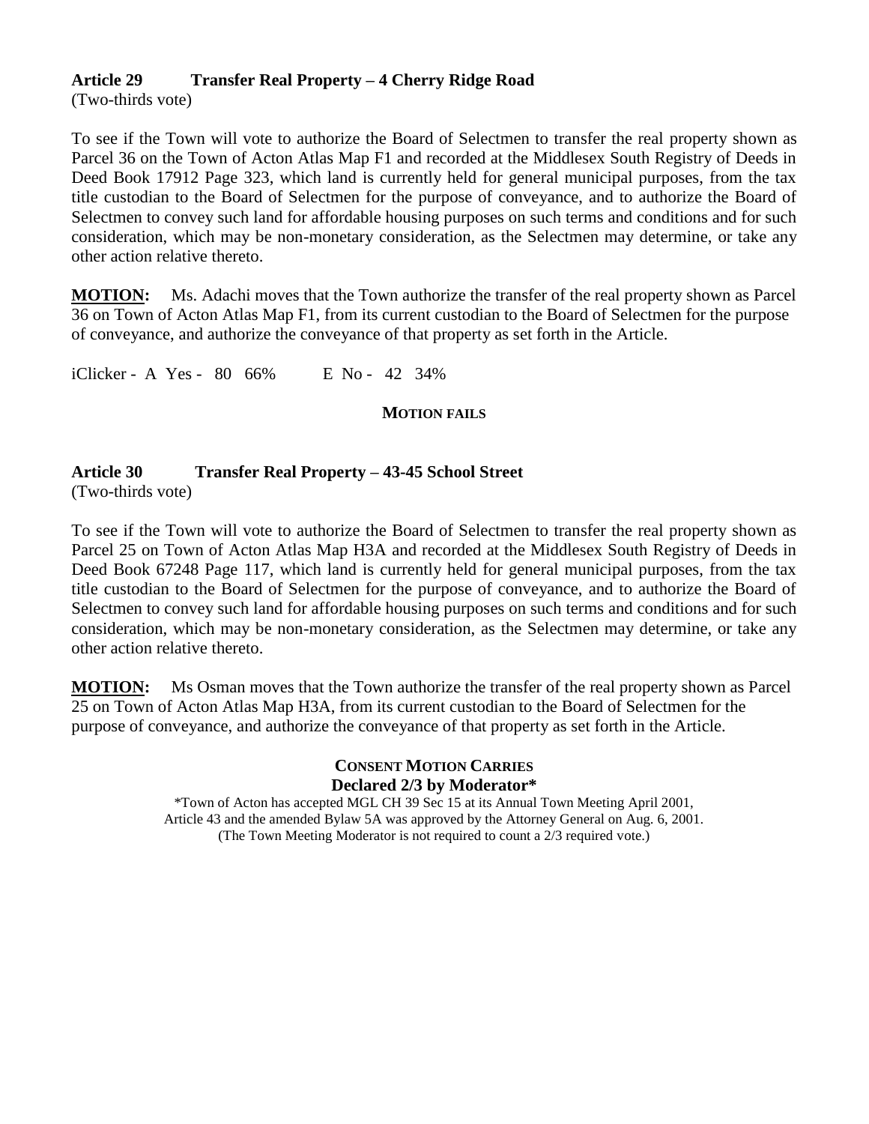## **Article 29 Transfer Real Property – 4 Cherry Ridge Road**

(Two-thirds vote)

To see if the Town will vote to authorize the Board of Selectmen to transfer the real property shown as Parcel 36 on the Town of Acton Atlas Map F1 and recorded at the Middlesex South Registry of Deeds in Deed Book 17912 Page 323, which land is currently held for general municipal purposes, from the tax title custodian to the Board of Selectmen for the purpose of conveyance, and to authorize the Board of Selectmen to convey such land for affordable housing purposes on such terms and conditions and for such consideration, which may be non-monetary consideration, as the Selectmen may determine, or take any other action relative thereto.

**MOTION:** Ms. Adachi moves that the Town authorize the transfer of the real property shown as Parcel 36 on Town of Acton Atlas Map F1, from its current custodian to the Board of Selectmen for the purpose of conveyance, and authorize the conveyance of that property as set forth in the Article.

iClicker - A Yes - 80 66% E No - 42 34%

## **MOTION FAILS**

## **Article 30 Transfer Real Property – 43-45 School Street**

(Two-thirds vote)

To see if the Town will vote to authorize the Board of Selectmen to transfer the real property shown as Parcel 25 on Town of Acton Atlas Map H3A and recorded at the Middlesex South Registry of Deeds in Deed Book 67248 Page 117, which land is currently held for general municipal purposes, from the tax title custodian to the Board of Selectmen for the purpose of conveyance, and to authorize the Board of Selectmen to convey such land for affordable housing purposes on such terms and conditions and for such consideration, which may be non-monetary consideration, as the Selectmen may determine, or take any other action relative thereto.

**MOTION:** Ms Osman moves that the Town authorize the transfer of the real property shown as Parcel 25 on Town of Acton Atlas Map H3A, from its current custodian to the Board of Selectmen for the purpose of conveyance, and authorize the conveyance of that property as set forth in the Article.

## **CONSENT MOTION CARRIES Declared 2/3 by Moderator\***

\*Town of Acton has accepted MGL CH 39 Sec 15 at its Annual Town Meeting April 2001, Article 43 and the amended Bylaw 5A was approved by the Attorney General on Aug. 6, 2001. (The Town Meeting Moderator is not required to count a 2/3 required vote.)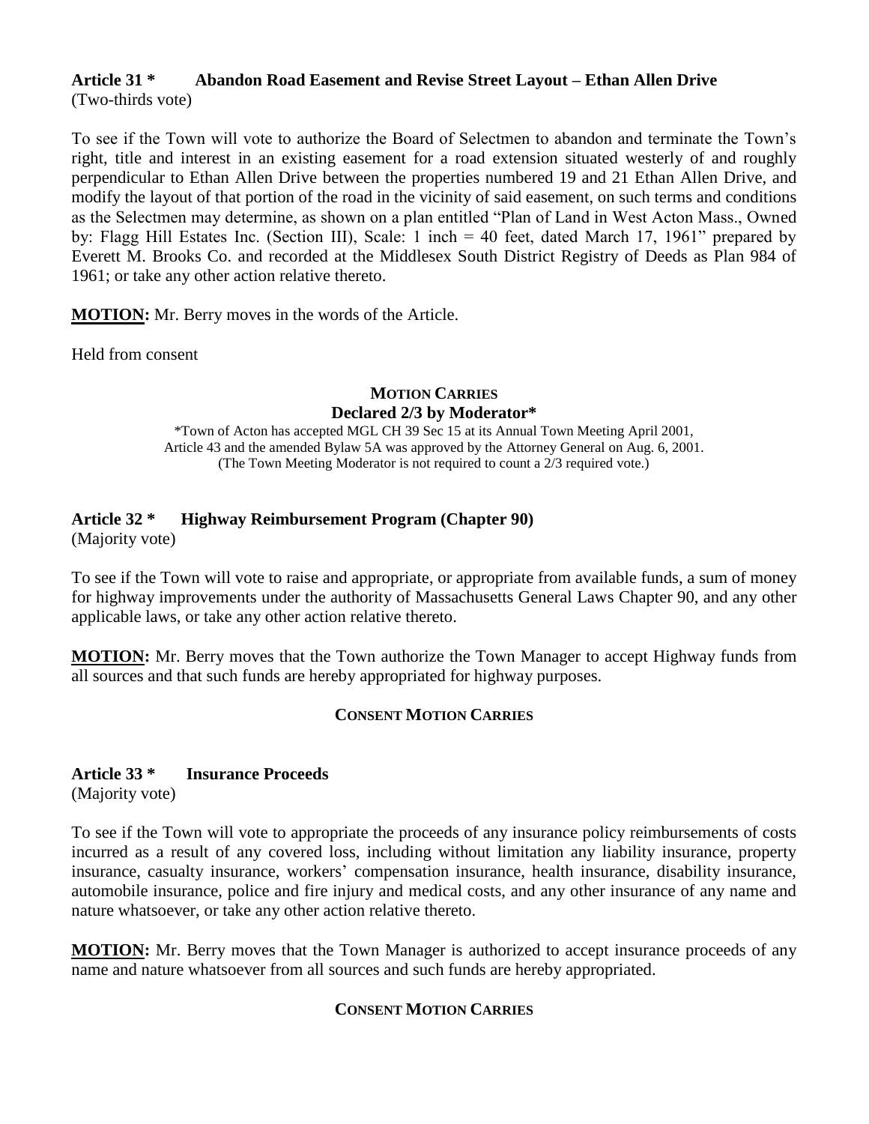#### **Article 31 \* Abandon Road Easement and Revise Street Layout – Ethan Allen Drive** (Two-thirds vote)

To see if the Town will vote to authorize the Board of Selectmen to abandon and terminate the Town's right, title and interest in an existing easement for a road extension situated westerly of and roughly perpendicular to Ethan Allen Drive between the properties numbered 19 and 21 Ethan Allen Drive, and modify the layout of that portion of the road in the vicinity of said easement, on such terms and conditions as the Selectmen may determine, as shown on a plan entitled "Plan of Land in West Acton Mass., Owned by: Flagg Hill Estates Inc. (Section III), Scale: 1 inch = 40 feet, dated March 17, 1961" prepared by Everett M. Brooks Co. and recorded at the Middlesex South District Registry of Deeds as Plan 984 of 1961; or take any other action relative thereto.

**MOTION:** Mr. Berry moves in the words of the Article.

Held from consent

## **MOTION CARRIES Declared 2/3 by Moderator\***

\*Town of Acton has accepted MGL CH 39 Sec 15 at its Annual Town Meeting April 2001, Article 43 and the amended Bylaw 5A was approved by the Attorney General on Aug. 6, 2001. (The Town Meeting Moderator is not required to count a 2/3 required vote.)

## **Article 32 \* Highway Reimbursement Program (Chapter 90)**

(Majority vote)

To see if the Town will vote to raise and appropriate, or appropriate from available funds, a sum of money for highway improvements under the authority of Massachusetts General Laws Chapter 90, and any other applicable laws, or take any other action relative thereto.

**MOTION:** Mr. Berry moves that the Town authorize the Town Manager to accept Highway funds from all sources and that such funds are hereby appropriated for highway purposes.

## **CONSENT MOTION CARRIES**

## **Article 33 \* Insurance Proceeds**

(Majority vote)

To see if the Town will vote to appropriate the proceeds of any insurance policy reimbursements of costs incurred as a result of any covered loss, including without limitation any liability insurance, property insurance, casualty insurance, workers' compensation insurance, health insurance, disability insurance, automobile insurance, police and fire injury and medical costs, and any other insurance of any name and nature whatsoever, or take any other action relative thereto.

**MOTION:** Mr. Berry moves that the Town Manager is authorized to accept insurance proceeds of any name and nature whatsoever from all sources and such funds are hereby appropriated.

## **CONSENT MOTION CARRIES**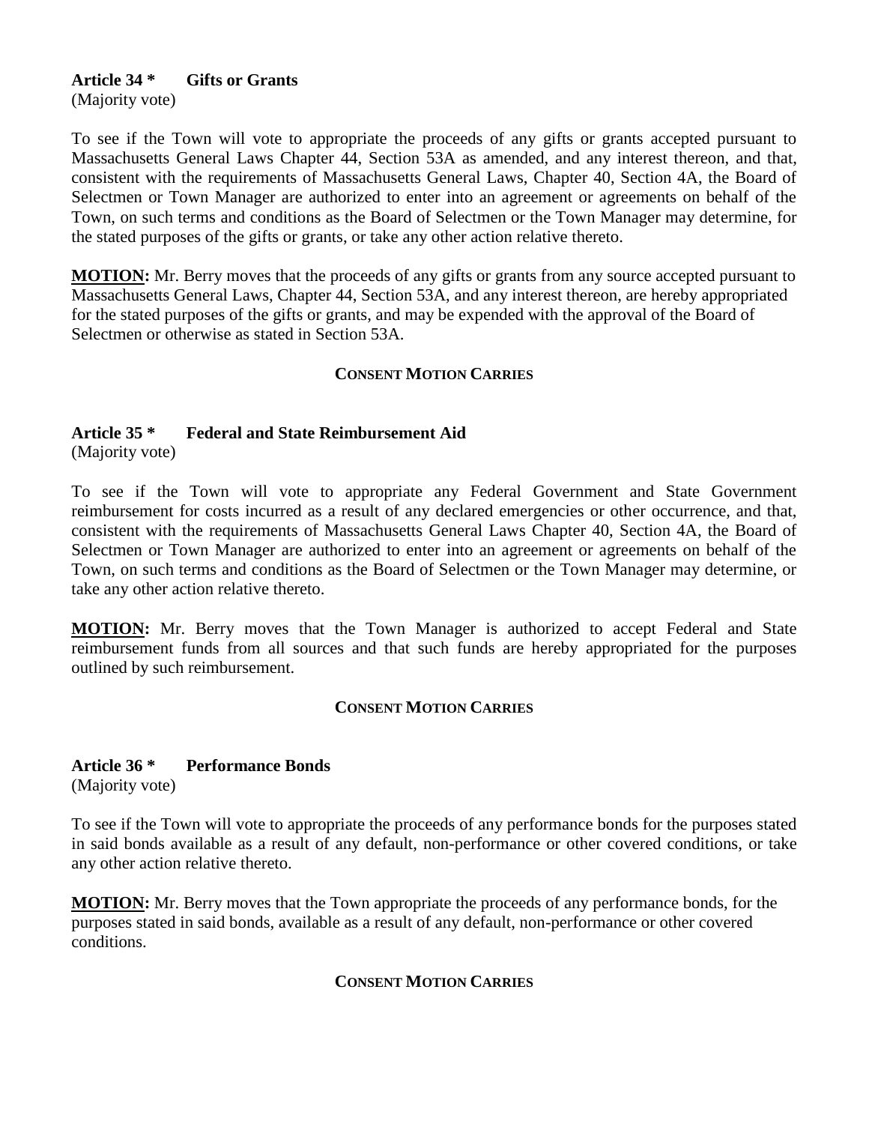## **Article 34 \* Gifts or Grants**

(Majority vote)

To see if the Town will vote to appropriate the proceeds of any gifts or grants accepted pursuant to Massachusetts General Laws Chapter 44, Section 53A as amended, and any interest thereon, and that, consistent with the requirements of Massachusetts General Laws, Chapter 40, Section 4A, the Board of Selectmen or Town Manager are authorized to enter into an agreement or agreements on behalf of the Town, on such terms and conditions as the Board of Selectmen or the Town Manager may determine, for the stated purposes of the gifts or grants, or take any other action relative thereto.

**MOTION:** Mr. Berry moves that the proceeds of any gifts or grants from any source accepted pursuant to Massachusetts General Laws, Chapter 44, Section 53A, and any interest thereon, are hereby appropriated for the stated purposes of the gifts or grants, and may be expended with the approval of the Board of Selectmen or otherwise as stated in Section 53A.

## **CONSENT MOTION CARRIES**

## **Article 35 \* Federal and State Reimbursement Aid**

(Majority vote)

To see if the Town will vote to appropriate any Federal Government and State Government reimbursement for costs incurred as a result of any declared emergencies or other occurrence, and that, consistent with the requirements of Massachusetts General Laws Chapter 40, Section 4A, the Board of Selectmen or Town Manager are authorized to enter into an agreement or agreements on behalf of the Town, on such terms and conditions as the Board of Selectmen or the Town Manager may determine, or take any other action relative thereto.

**MOTION:** Mr. Berry moves that the Town Manager is authorized to accept Federal and State reimbursement funds from all sources and that such funds are hereby appropriated for the purposes outlined by such reimbursement.

#### **CONSENT MOTION CARRIES**

#### **Article 36 \* Performance Bonds**

(Majority vote)

To see if the Town will vote to appropriate the proceeds of any performance bonds for the purposes stated in said bonds available as a result of any default, non-performance or other covered conditions, or take any other action relative thereto.

**MOTION:** Mr. Berry moves that the Town appropriate the proceeds of any performance bonds, for the purposes stated in said bonds, available as a result of any default, non-performance or other covered conditions.

## **CONSENT MOTION CARRIES**